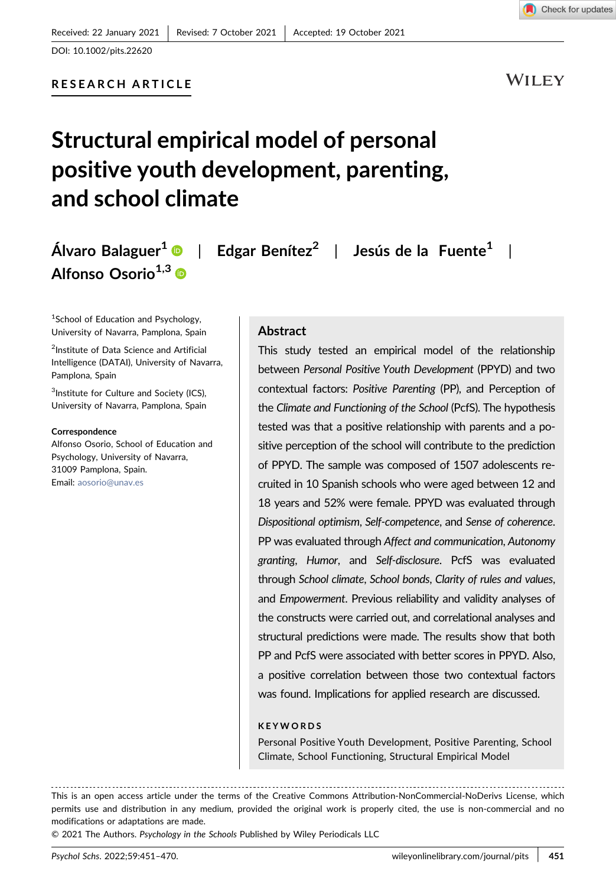DOI: 10.1002/pits.22620

WILEY

# Structural empirical model of personal positive youth development, parenting, and school climate

Álvaro Balaguer<sup>1</sup>  $\bullet$  | Edgar Benítez<sup>2</sup> | Jesús de la Fuente<sup>1</sup> | Alfonso Osorio $^{1,3}$  ®

<sup>1</sup>School of Education and Psychology, University of Navarra, Pamplona, Spain

<sup>2</sup>Institute of Data Science and Artificial Intelligence (DATAI), University of Navarra, Pamplona, Spain

<sup>3</sup>Institute for Culture and Society (ICS), University of Navarra, Pamplona, Spain

#### Correspondence

Alfonso Osorio, School of Education and Psychology, University of Navarra, 31009 Pamplona, Spain. Email: [aosorio@unav.es](mailto:aosorio@unav.es)

#### Abstract

This study tested an empirical model of the relationship between Personal Positive Youth Development (PPYD) and two contextual factors: Positive Parenting (PP), and Perception of the Climate and Functioning of the School (PcfS). The hypothesis tested was that a positive relationship with parents and a positive perception of the school will contribute to the prediction of PPYD. The sample was composed of 1507 adolescents recruited in 10 Spanish schools who were aged between 12 and 18 years and 52% were female. PPYD was evaluated through Dispositional optimism, Self‐competence, and Sense of coherence. PP was evaluated through Affect and communication, Autonomy granting, Humor, and Self‐disclosure. PcfS was evaluated through School climate, School bonds, Clarity of rules and values, and Empowerment. Previous reliability and validity analyses of the constructs were carried out, and correlational analyses and structural predictions were made. The results show that both PP and PcfS were associated with better scores in PPYD. Also, a positive correlation between those two contextual factors was found. Implications for applied research are discussed.

#### KEYWORDS

Personal Positive Youth Development, Positive Parenting, School Climate, School Functioning, Structural Empirical Model

© 2021 The Authors. Psychology in the Schools Published by Wiley Periodicals LLC

This is an open access article under the terms of the Creative Commons Attribution‐NonCommercial‐NoDerivs License, which permits use and distribution in any medium, provided the original work is properly cited, the use is non-commercial and no modifications or adaptations are made.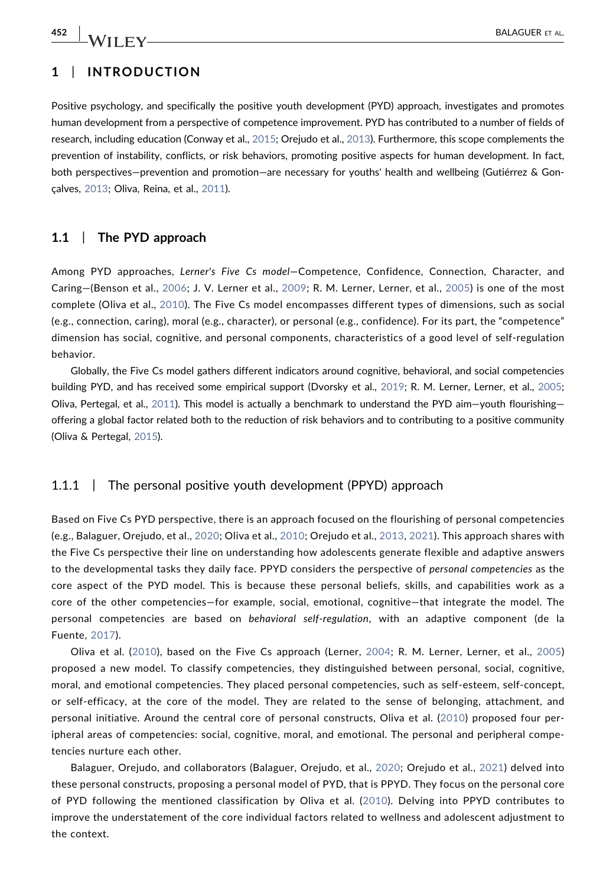# 1 | INTRODUCTION

Positive psychology, and specifically the positive youth development (PYD) approach, investigates and promotes human development from a perspective of competence improvement. PYD has contributed to a number of fields of research, including education (Conway et al., [2015](#page-17-0); Orejudo et al., [2013\)](#page-18-0). Furthermore, this scope complements the prevention of instability, conflicts, or risk behaviors, promoting positive aspects for human development. In fact, both perspectives—prevention and promotion—are necessary for youths' health and wellbeing (Gutiérrez & Gonçalves, [2013](#page-17-1); Oliva, Reina, et al., [2011](#page-18-1)).

# 1.1 | The PYD approach

Among PYD approaches, Lerner's Five Cs model—Competence, Confidence, Connection, Character, and Caring—(Benson et al., [2006](#page-16-0); J. V. Lerner et al., [2009](#page-17-2); R. M. Lerner, Lerner, et al., [2005](#page-17-3)) is one of the most complete (Oliva et al., [2010](#page-18-2)). The Five Cs model encompasses different types of dimensions, such as social (e.g., connection, caring), moral (e.g., character), or personal (e.g., confidence). For its part, the "competence" dimension has social, cognitive, and personal components, characteristics of a good level of self‐regulation behavior.

Globally, the Five Cs model gathers different indicators around cognitive, behavioral, and social competencies building PYD, and has received some empirical support (Dvorsky et al., [2019](#page-17-4); R. M. Lerner, Lerner, et al., [2005](#page-17-3); Oliva, Pertegal, et al., [2011\)](#page-18-3). This model is actually a benchmark to understand the PYD aim—youth flourishing offering a global factor related both to the reduction of risk behaviors and to contributing to a positive community (Oliva & Pertegal, [2015](#page-18-4)).

# 1.1.1 | The personal positive youth development (PPYD) approach

Based on Five Cs PYD perspective, there is an approach focused on the flourishing of personal competencies (e.g., Balaguer, Orejudo, et al., [2020;](#page-16-1) Oliva et al., [2010;](#page-18-2) Orejudo et al., [2013](#page-18-0), [2021\)](#page-18-5). This approach shares with the Five Cs perspective their line on understanding how adolescents generate flexible and adaptive answers to the developmental tasks they daily face. PPYD considers the perspective of personal competencies as the core aspect of the PYD model. This is because these personal beliefs, skills, and capabilities work as a core of the other competencies—for example, social, emotional, cognitive—that integrate the model. The personal competencies are based on behavioral self-regulation, with an adaptive component (de la Fuente, [2017\)](#page-17-5).

Oliva et al. ([2010\)](#page-18-2), based on the Five Cs approach (Lerner, [2004;](#page-17-6) R. M. Lerner, Lerner, et al., [2005](#page-17-3)) proposed a new model. To classify competencies, they distinguished between personal, social, cognitive, moral, and emotional competencies. They placed personal competencies, such as self‐esteem, self‐concept, or self‐efficacy, at the core of the model. They are related to the sense of belonging, attachment, and personal initiative. Around the central core of personal constructs, Oliva et al. ([2010](#page-18-2)) proposed four peripheral areas of competencies: social, cognitive, moral, and emotional. The personal and peripheral competencies nurture each other.

Balaguer, Orejudo, and collaborators (Balaguer, Orejudo, et al., [2020](#page-16-1); Orejudo et al., [2021\)](#page-18-5) delved into these personal constructs, proposing a personal model of PYD, that is PPYD. They focus on the personal core of PYD following the mentioned classification by Oliva et al. ([2010](#page-18-2)). Delving into PPYD contributes to improve the understatement of the core individual factors related to wellness and adolescent adjustment to the context.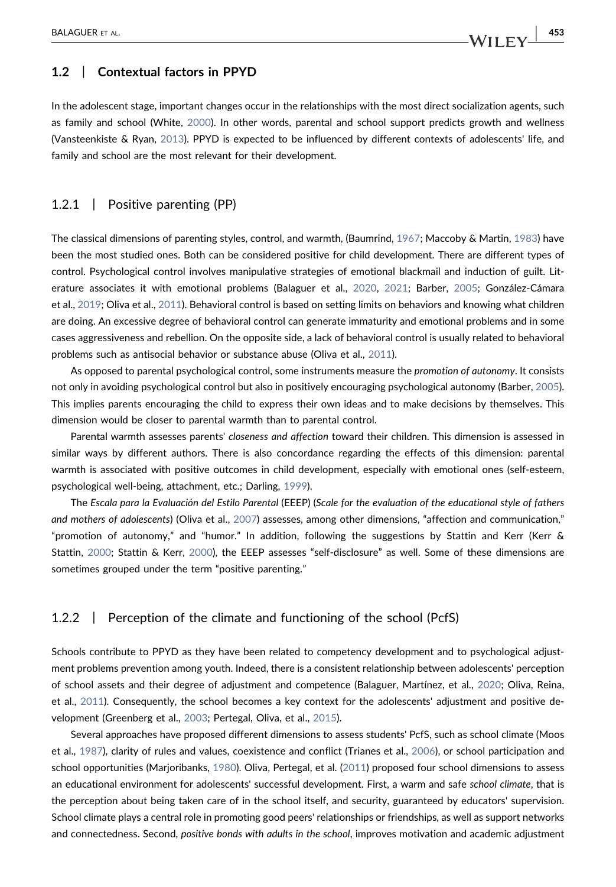# 1.2 | Contextual factors in PPYD

In the adolescent stage, important changes occur in the relationships with the most direct socialization agents, such as family and school (White, [2000](#page-19-0)). In other words, parental and school support predicts growth and wellness (Vansteenkiste & Ryan, [2013\)](#page-19-1). PPYD is expected to be influenced by different contexts of adolescents' life, and family and school are the most relevant for their development.

#### 1.2.1 | Positive parenting (PP)

The classical dimensions of parenting styles, control, and warmth, (Baumrind, [1967;](#page-16-2) Maccoby & Martin, [1983](#page-18-6)) have been the most studied ones. Both can be considered positive for child development. There are different types of control. Psychological control involves manipulative strategies of emotional blackmail and induction of guilt. Literature associates it with emotional problems (Balaguer et al., [2020,](#page-16-3) [2021](#page-16-4); Barber, [2005;](#page-16-5) González‐Cámara et al., [2019;](#page-17-7) Oliva et al., [2011](#page-18-7)). Behavioral control is based on setting limits on behaviors and knowing what children are doing. An excessive degree of behavioral control can generate immaturity and emotional problems and in some cases aggressiveness and rebellion. On the opposite side, a lack of behavioral control is usually related to behavioral problems such as antisocial behavior or substance abuse (Oliva et al., [2011](#page-18-7)).

As opposed to parental psychological control, some instruments measure the promotion of autonomy. It consists not only in avoiding psychological control but also in positively encouraging psychological autonomy (Barber, [2005](#page-16-5)). This implies parents encouraging the child to express their own ideas and to make decisions by themselves. This dimension would be closer to parental warmth than to parental control.

Parental warmth assesses parents' closeness and affection toward their children. This dimension is assessed in similar ways by different authors. There is also concordance regarding the effects of this dimension: parental warmth is associated with positive outcomes in child development, especially with emotional ones (self‐esteem, psychological well‐being, attachment, etc.; Darling, [1999\)](#page-17-8).

The Escala para la Evaluación del Estilo Parental (EEEP) (Scale for the evaluation of the educational style of fathers and mothers of adolescents) (Oliva et al., [2007](#page-18-8)) assesses, among other dimensions, "affection and communication," "promotion of autonomy," and "humor." In addition, following the suggestions by Stattin and Kerr (Kerr & Stattin, [2000](#page-17-9); Stattin & Kerr, [2000](#page-19-2)), the EEEP assesses "self‐disclosure" as well. Some of these dimensions are sometimes grouped under the term "positive parenting."

#### 1.2.2 | Perception of the climate and functioning of the school (PcfS)

Schools contribute to PPYD as they have been related to competency development and to psychological adjustment problems prevention among youth. Indeed, there is a consistent relationship between adolescents' perception of school assets and their degree of adjustment and competence (Balaguer, Martínez, et al., [2020](#page-16-3); Oliva, Reina, et al., [2011\)](#page-18-1). Consequently, the school becomes a key context for the adolescents' adjustment and positive development (Greenberg et al., [2003](#page-17-10); Pertegal, Oliva, et al., [2015](#page-18-9)).

Several approaches have proposed different dimensions to assess students' PcfS, such as school climate (Moos et al., [1987\)](#page-18-10), clarity of rules and values, coexistence and conflict (Trianes et al., [2006\)](#page-19-3), or school participation and school opportunities (Marjoribanks, [1980](#page-18-11)). Oliva, Pertegal, et al. ([2011](#page-18-3)) proposed four school dimensions to assess an educational environment for adolescents' successful development. First, a warm and safe school climate, that is the perception about being taken care of in the school itself, and security, guaranteed by educators' supervision. School climate plays a central role in promoting good peers' relationships or friendships, as well as support networks and connectedness. Second, positive bonds with adults in the school, improves motivation and academic adjustment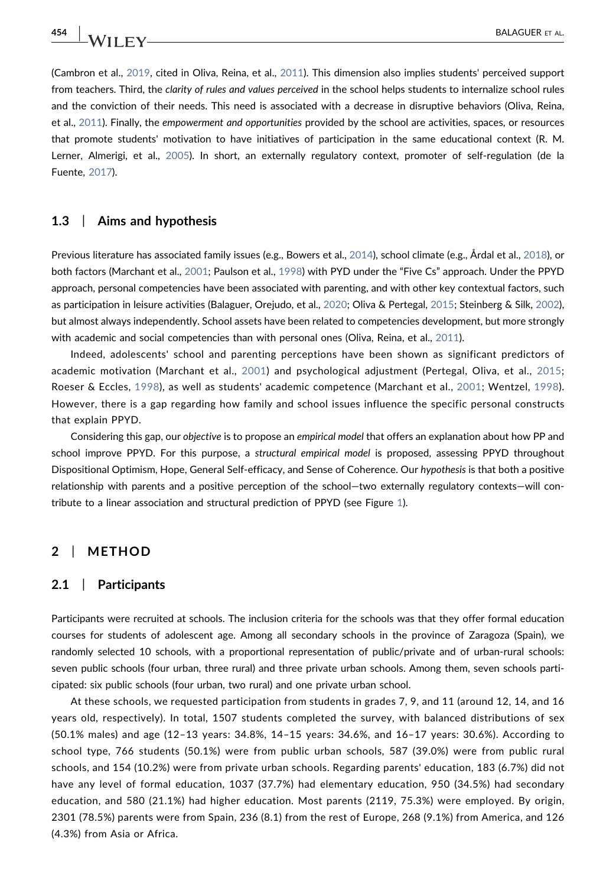(Cambron et al., [2019](#page-17-11), cited in Oliva, Reina, et al., [2011](#page-18-1)). This dimension also implies students' perceived support from teachers. Third, the clarity of rules and values perceived in the school helps students to internalize school rules and the conviction of their needs. This need is associated with a decrease in disruptive behaviors (Oliva, Reina, et al., [2011\)](#page-18-1). Finally, the empowerment and opportunities provided by the school are activities, spaces, or resources that promote students' motivation to have initiatives of participation in the same educational context (R. M. Lerner, Almerigi, et al., [2005](#page-17-12)). In short, an externally regulatory context, promoter of self‐regulation (de la Fuente, [2017](#page-17-5)).

#### 1.3 | Aims and hypothesis

Previous literature has associated family issues (e.g., Bowers et al., [2014\)](#page-17-13), school climate (e.g., Årdal et al., [2018\)](#page-16-6), or both factors (Marchant et al., [2001;](#page-18-12) Paulson et al., [1998\)](#page-18-13) with PYD under the "Five Cs" approach. Under the PPYD approach, personal competencies have been associated with parenting, and with other key contextual factors, such as participation in leisure activities (Balaguer, Orejudo, et al., [2020](#page-16-1); Oliva & Pertegal, [2015;](#page-18-4) Steinberg & Silk, [2002](#page-19-4)), but almost always independently. School assets have been related to competencies development, but more strongly with academic and social competencies than with personal ones (Oliva, Reina, et al., [2011\)](#page-18-1).

Indeed, adolescents' school and parenting perceptions have been shown as significant predictors of academic motivation (Marchant et al., [2001\)](#page-18-12) and psychological adjustment (Pertegal, Oliva, et al., [2015](#page-18-9); Roeser & Eccles, [1998\)](#page-19-5), as well as students' academic competence (Marchant et al., [2001](#page-18-12); Wentzel, [1998\)](#page-19-6). However, there is a gap regarding how family and school issues influence the specific personal constructs that explain PPYD.

Considering this gap, our objective is to propose an empirical model that offers an explanation about how PP and school improve PPYD. For this purpose, a structural empirical model is proposed, assessing PPYD throughout Dispositional Optimism, Hope, General Self‐efficacy, and Sense of Coherence. Our hypothesis is that both a positive relationship with parents and a positive perception of the school—two externally regulatory contexts—will contribute to a linear association and structural prediction of PPYD (see Figure [1](#page-4-0)).

# 2 | METHOD

#### 2.1 | Participants

Participants were recruited at schools. The inclusion criteria for the schools was that they offer formal education courses for students of adolescent age. Among all secondary schools in the province of Zaragoza (Spain), we randomly selected 10 schools, with a proportional representation of public/private and of urban-rural schools: seven public schools (four urban, three rural) and three private urban schools. Among them, seven schools participated: six public schools (four urban, two rural) and one private urban school.

At these schools, we requested participation from students in grades 7, 9, and 11 (around 12, 14, and 16 years old, respectively). In total, 1507 students completed the survey, with balanced distributions of sex (50.1% males) and age (12–13 years: 34.8%, 14–15 years: 34.6%, and 16–17 years: 30.6%). According to school type, 766 students (50.1%) were from public urban schools, 587 (39.0%) were from public rural schools, and 154 (10.2%) were from private urban schools. Regarding parents' education, 183 (6.7%) did not have any level of formal education, 1037 (37.7%) had elementary education, 950 (34.5%) had secondary education, and 580 (21.1%) had higher education. Most parents (2119, 75.3%) were employed. By origin, 2301 (78.5%) parents were from Spain, 236 (8.1) from the rest of Europe, 268 (9.1%) from America, and 126 (4.3%) from Asia or Africa.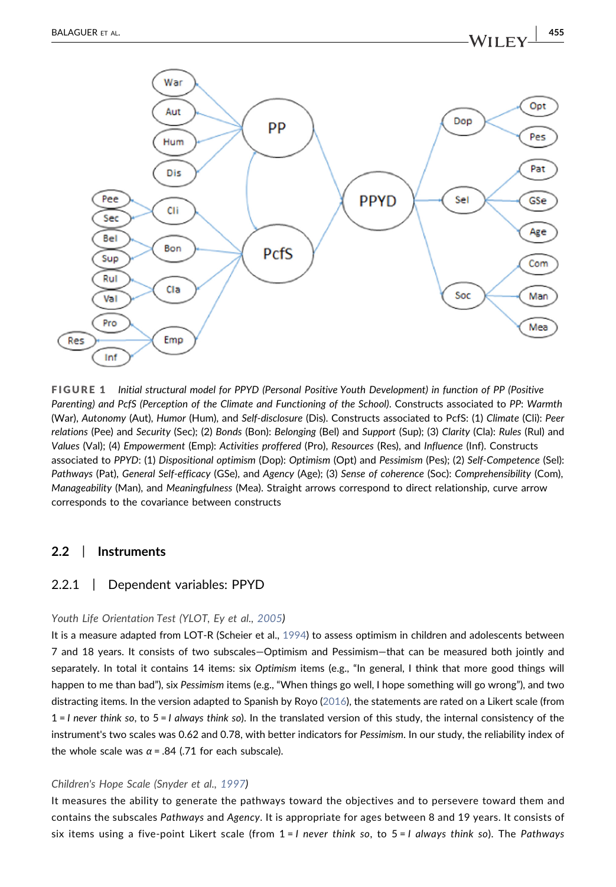War

<span id="page-4-0"></span>

FIGURE 1 Initial structural model for PPYD (Personal Positive Youth Development) in function of PP (Positive Parenting) and PcfS (Perception of the Climate and Functioning of the School). Constructs associated to PP: Warmth (War), Autonomy (Aut), Humor (Hum), and Self‐disclosure (Dis). Constructs associated to PcfS: (1) Climate (Cli): Peer relations (Pee) and Security (Sec); (2) Bonds (Bon): Belonging (Bel) and Support (Sup); (3) Clarity (Cla): Rules (Rul) and Values (Val); (4) Empowerment (Emp): Activities proffered (Pro), Resources (Res), and Influence (Inf). Constructs associated to PPYD: (1) Dispositional optimism (Dop): Optimism (Opt) and Pessimism (Pes); (2) Self‐Competence (Sel): Pathways (Pat), General Self‐efficacy (GSe), and Agency (Age); (3) Sense of coherence (Soc): Comprehensibility (Com), Manageability (Man), and Meaningfulness (Mea). Straight arrows correspond to direct relationship, curve arrow corresponds to the covariance between constructs

# 2.2 | Instruments

# 2.2.1 | Dependent variables: PPYD

#### Youth Life Orientation Test (YLOT, Ey et al., [2005](#page-17-14))

It is a measure adapted from LOT-R (Scheier et al., [1994](#page-19-7)) to assess optimism in children and adolescents between 7 and 18 years. It consists of two subscales—Optimism and Pessimism—that can be measured both jointly and separately. In total it contains 14 items: six Optimism items (e.g., "In general, I think that more good things will happen to me than bad"), six Pessimism items (e.g., "When things go well, I hope something will go wrong"), and two distracting items. In the version adapted to Spanish by Royo [\(2016\)](#page-19-8), the statements are rated on a Likert scale (from  $1 = 1$  never think so, to  $5 = 1$  always think so). In the translated version of this study, the internal consistency of the instrument's two scales was 0.62 and 0.78, with better indicators for Pessimism. In our study, the reliability index of the whole scale was  $\alpha$  = .84 (.71 for each subscale).

#### Children's Hope Scale (Snyder et al., [1997](#page-19-9))

It measures the ability to generate the pathways toward the objectives and to persevere toward them and contains the subscales Pathways and Agency. It is appropriate for ages between 8 and 19 years. It consists of six items using a five-point Likert scale (from  $1 = 1$  never think so, to  $5 = 1$  always think so). The Pathways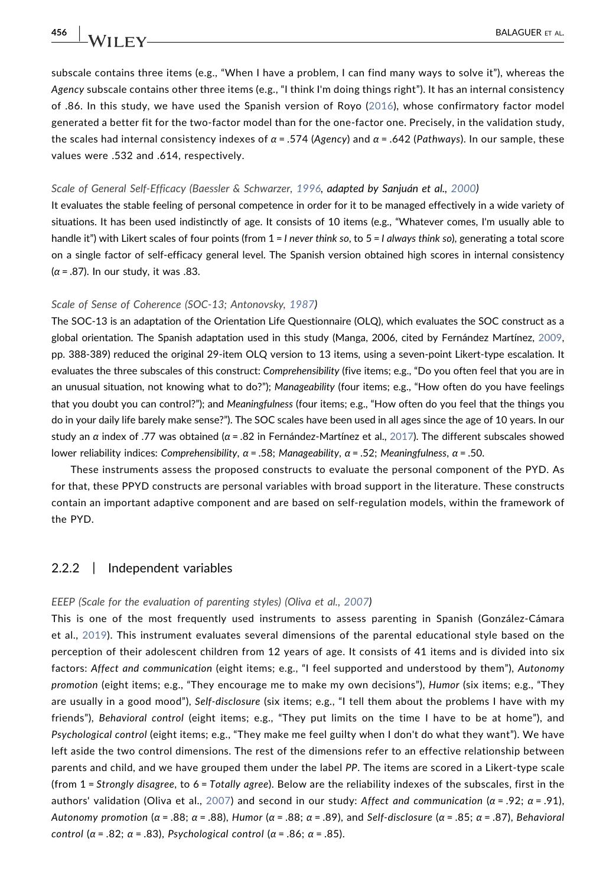subscale contains three items (e.g., "When I have a problem, I can find many ways to solve it"), whereas the Agency subscale contains other three items (e.g., "I think I'm doing things right"). It has an internal consistency of .86. In this study, we have used the Spanish version of Royo [\(2016\)](#page-19-8), whose confirmatory factor model generated a better fit for the two‐factor model than for the one‐factor one. Precisely, in the validation study, the scales had internal consistency indexes of  $\alpha$  = .574 (Agency) and  $\alpha$  = .642 (Pathways). In our sample, these values were .532 and .614, respectively.

#### Scale of General Self‐Efficacy (Baessler & Schwarzer, [1996,](#page-16-7) adapted by Sanjuán et al., [2000\)](#page-19-10)

It evaluates the stable feeling of personal competence in order for it to be managed effectively in a wide variety of situations. It has been used indistinctly of age. It consists of 10 items (e.g., "Whatever comes, I'm usually able to handle it") with Likert scales of four points (from  $1 = 1$  never think so, to  $5 = 1$  always think so), generating a total score on a single factor of self‐efficacy general level. The Spanish version obtained high scores in internal consistency  $(\alpha = .87)$ . In our study, it was .83.

#### Scale of Sense of Coherence (SOC‐13; Antonovsky, [1987\)](#page-16-8)

The SOC‐13 is an adaptation of the Orientation Life Questionnaire (OLQ), which evaluates the SOC construct as a global orientation. The Spanish adaptation used in this study (Manga, 2006, cited by Fernández Martínez, [2009](#page-17-15), pp. 388‐389) reduced the original 29‐item OLQ version to 13 items, using a seven‐point Likert‐type escalation. It evaluates the three subscales of this construct: Comprehensibility (five items; e.g., "Do you often feel that you are in an unusual situation, not knowing what to do?"); Manageability (four items; e.g., "How often do you have feelings that you doubt you can control?"); and Meaningfulness (four items; e.g., "How often do you feel that the things you do in your daily life barely make sense?"). The SOC scales have been used in all ages since the age of 10 years. In our study an α index of .77 was obtained ( $α = .82$  in Fernández-Martínez et al., [2017](#page-17-16)). The different subscales showed lower reliability indices: Comprehensibility,  $\alpha$  = .58; Manageability,  $\alpha$  = .52; Meaningfulness,  $\alpha$  = .50.

These instruments assess the proposed constructs to evaluate the personal component of the PYD. As for that, these PPYD constructs are personal variables with broad support in the literature. These constructs contain an important adaptive component and are based on self‐regulation models, within the framework of the PYD.

#### 2.2.2 | Independent variables

#### EEEP (Scale for the evaluation of parenting styles) (Oliva et al., [2007](#page-18-8))

This is one of the most frequently used instruments to assess parenting in Spanish (González‐Cámara et al., [2019](#page-17-7)). This instrument evaluates several dimensions of the parental educational style based on the perception of their adolescent children from 12 years of age. It consists of 41 items and is divided into six factors: Affect and communication (eight items; e.g., "I feel supported and understood by them"), Autonomy promotion (eight items; e.g., "They encourage me to make my own decisions"), Humor (six items; e.g., "They are usually in a good mood"), Self‐disclosure (six items; e.g., "I tell them about the problems I have with my friends"), Behavioral control (eight items; e.g., "They put limits on the time I have to be at home"), and Psychological control (eight items; e.g., "They make me feel guilty when I don't do what they want"). We have left aside the two control dimensions. The rest of the dimensions refer to an effective relationship between parents and child, and we have grouped them under the label PP. The items are scored in a Likert‐type scale (from  $1$  = Strongly disagree, to 6 = Totally agree). Below are the reliability indexes of the subscales, first in the authors' validation (Oliva et al., [2007\)](#page-18-8) and second in our study: Affect and communication (α = .92; α = .91), Autonomy promotion ( $\alpha$  = .88;  $\alpha$  = .88), Humor ( $\alpha$  = .88;  $\alpha$  = .89), and Self-disclosure ( $\alpha$  = .85;  $\alpha$  = .87), Behavioral control ( $\alpha$  = .82;  $\alpha$  = .83), Psychological control ( $\alpha$  = .86;  $\alpha$  = .85).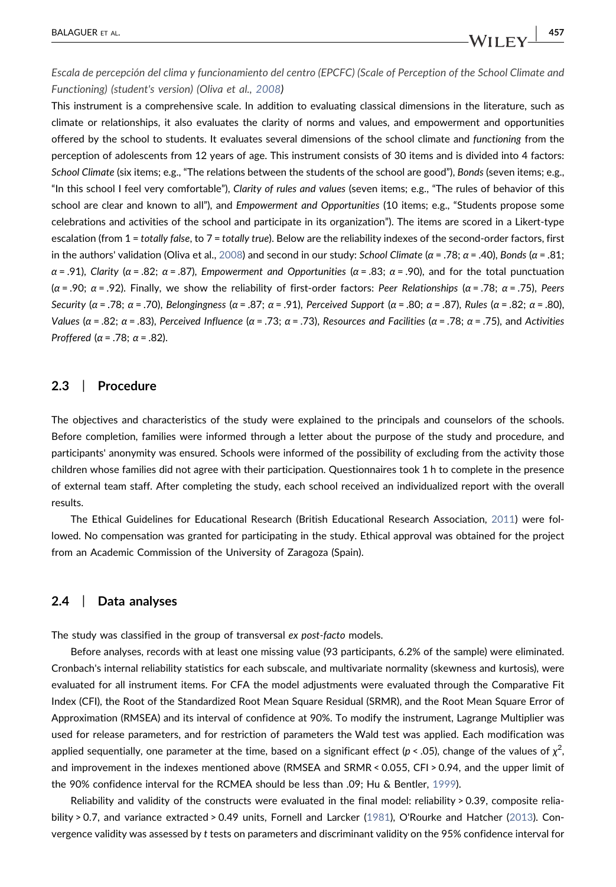Escala de percepción del clima y funcionamiento del centro (EPCFC) (Scale of Perception of the School Climate and Functioning) (student's version) (Oliva et al., [2008](#page-18-14))

This instrument is a comprehensive scale. In addition to evaluating classical dimensions in the literature, such as climate or relationships, it also evaluates the clarity of norms and values, and empowerment and opportunities offered by the school to students. It evaluates several dimensions of the school climate and functioning from the perception of adolescents from 12 years of age. This instrument consists of 30 items and is divided into 4 factors: School Climate (six items; e.g., "The relations between the students of the school are good"), Bonds (seven items; e.g., "In this school I feel very comfortable"), Clarity of rules and values (seven items; e.g., "The rules of behavior of this school are clear and known to all"), and Empowerment and Opportunities (10 items; e.g., "Students propose some celebrations and activities of the school and participate in its organization"). The items are scored in a Likert-type escalation (from 1 = totally false, to 7 = totally true). Below are the reliability indexes of the second-order factors, first in the authors' validation (Oliva et al., [2008\)](#page-18-14) and second in our study: School Climate (α = .78; α = .40), Bonds (α = .81;  $\alpha$  = .91), Clarity ( $\alpha$  = .82;  $\alpha$  = .87), Empowerment and Opportunities ( $\alpha$  = .83;  $\alpha$  = .90), and for the total punctuation ( $\alpha$  = .90;  $\alpha$  = .92). Finally, we show the reliability of first-order factors: Peer Relationships ( $\alpha$  = .78;  $\alpha$  = .75), Peers Security (α = .78; α = .70), Belongingness (α = .87; α = .91), Perceived Support (α = .80; α = .87), Rules (α = .82; α = .80), Values (α = .82; α = .83), Perceived Influence (α = .73; α = .73), Resources and Facilities (α = .78; α = .75), and Activities Proffered ( $\alpha$  = .78;  $\alpha$  = .82).

# 2.3 | Procedure

The objectives and characteristics of the study were explained to the principals and counselors of the schools. Before completion, families were informed through a letter about the purpose of the study and procedure, and participants' anonymity was ensured. Schools were informed of the possibility of excluding from the activity those children whose families did not agree with their participation. Questionnaires took 1 h to complete in the presence of external team staff. After completing the study, each school received an individualized report with the overall results.

The Ethical Guidelines for Educational Research (British Educational Research Association, [2011](#page-17-17)) were followed. No compensation was granted for participating in the study. Ethical approval was obtained for the project from an Academic Commission of the University of Zaragoza (Spain).

#### 2.4 | Data analyses

The study was classified in the group of transversal ex post-facto models.

Before analyses, records with at least one missing value (93 participants, 6.2% of the sample) were eliminated. Cronbach's internal reliability statistics for each subscale, and multivariate normality (skewness and kurtosis), were evaluated for all instrument items. For CFA the model adjustments were evaluated through the Comparative Fit Index (CFI), the Root of the Standardized Root Mean Square Residual (SRMR), and the Root Mean Square Error of Approximation (RMSEA) and its interval of confidence at 90%. To modify the instrument, Lagrange Multiplier was used for release parameters, and for restriction of parameters the Wald test was applied. Each modification was applied sequentially, one parameter at the time, based on a significant effect (p < .05), change of the values of  $\chi^2$ , and improvement in the indexes mentioned above (RMSEA and SRMR < 0.055, CFI > 0.94, and the upper limit of the 90% confidence interval for the RCMEA should be less than .09; Hu & Bentler, [1999\)](#page-17-18).

Reliability and validity of the constructs were evaluated in the final model: reliability > 0.39, composite reliability > 0.7, and variance extracted > 0.49 units, Fornell and Larcker ([1981](#page-17-19)), O'Rourke and Hatcher ([2013\)](#page-18-15). Convergence validity was assessed by t tests on parameters and discriminant validity on the 95% confidence interval for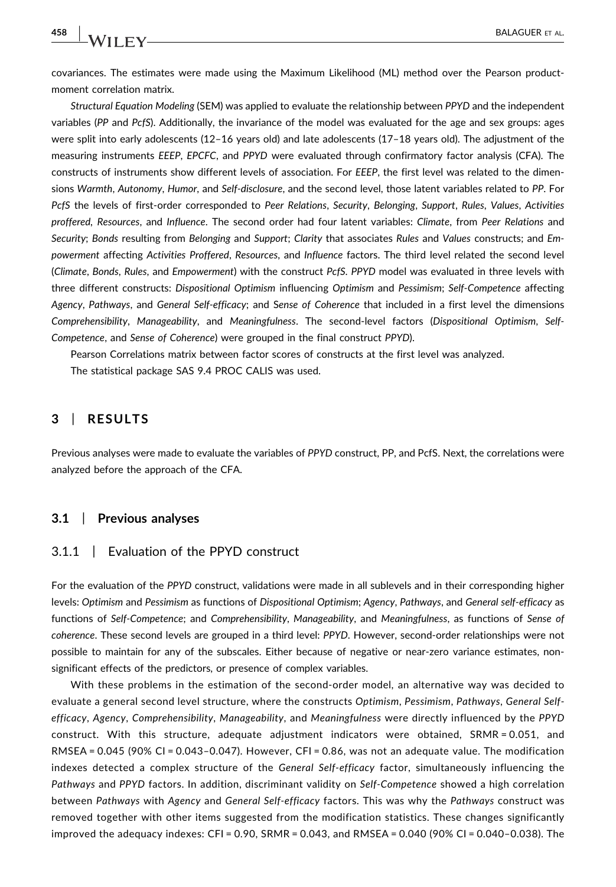covariances. The estimates were made using the Maximum Likelihood (ML) method over the Pearson product‐ moment correlation matrix.

Structural Equation Modeling (SEM) was applied to evaluate the relationship between PPYD and the independent variables (PP and PcfS). Additionally, the invariance of the model was evaluated for the age and sex groups: ages were split into early adolescents (12–16 years old) and late adolescents (17–18 years old). The adjustment of the measuring instruments EEEP, EPCFC, and PPYD were evaluated through confirmatory factor analysis (CFA). The constructs of instruments show different levels of association. For EEEP, the first level was related to the dimensions Warmth, Autonomy, Humor, and Self-disclosure, and the second level, those latent variables related to PP. For PcfS the levels of first‐order corresponded to Peer Relations, Security, Belonging, Support, Rules, Values, Activities proffered, Resources, and Influence. The second order had four latent variables: Climate, from Peer Relations and Security; Bonds resulting from Belonging and Support; Clarity that associates Rules and Values constructs; and Empowerment affecting Activities Proffered, Resources, and Influence factors. The third level related the second level (Climate, Bonds, Rules, and Empowerment) with the construct PcfS. PPYD model was evaluated in three levels with three different constructs: Dispositional Optimism influencing Optimism and Pessimism; Self‐Competence affecting Agency, Pathways, and General Self‐efficacy; and Sense of Coherence that included in a first level the dimensions Comprehensibility, Manageability, and Meaningfulness. The second‐level factors (Dispositional Optimism, Self‐ Competence, and Sense of Coherence) were grouped in the final construct PPYD).

Pearson Correlations matrix between factor scores of constructs at the first level was analyzed. The statistical package SAS 9.4 PROC CALIS was used.

# 3 | RESULTS

Previous analyses were made to evaluate the variables of PPYD construct, PP, and PcfS. Next, the correlations were analyzed before the approach of the CFA.

# 3.1 | Previous analyses

# 3.1.1 | Evaluation of the PPYD construct

For the evaluation of the PPYD construct, validations were made in all sublevels and in their corresponding higher levels: Optimism and Pessimism as functions of Dispositional Optimism; Agency, Pathways, and General self‐efficacy as functions of Self-Competence; and Comprehensibility, Manageability, and Meaningfulness, as functions of Sense of coherence. These second levels are grouped in a third level: PPYD. However, second‐order relationships were not possible to maintain for any of the subscales. Either because of negative or near-zero variance estimates, nonsignificant effects of the predictors, or presence of complex variables.

With these problems in the estimation of the second-order model, an alternative way was decided to evaluate a general second level structure, where the constructs Optimism, Pessimism, Pathways, General Selfefficacy, Agency, Comprehensibility, Manageability, and Meaningfulness were directly influenced by the PPYD construct. With this structure, adequate adjustment indicators were obtained, SRMR = 0.051, and RMSEA =  $0.045$  (90% CI =  $0.043$ - $0.047$ ). However, CFI =  $0.86$ , was not an adequate value. The modification indexes detected a complex structure of the General Self-efficacy factor, simultaneously influencing the Pathways and PPYD factors. In addition, discriminant validity on Self‐Competence showed a high correlation between Pathways with Agency and General Self-efficacy factors. This was why the Pathways construct was removed together with other items suggested from the modification statistics. These changes significantly improved the adequacy indexes: CFI = 0.90, SRMR = 0.043, and RMSEA = 0.040 (90% CI = 0.040–0.038). The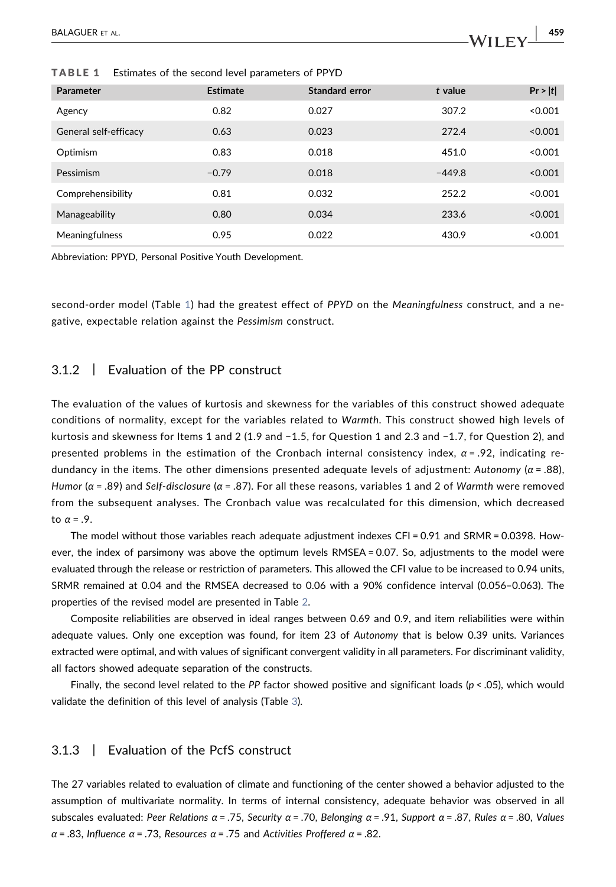| Parameter             | <b>Estimate</b> | <b>Standard error</b> | t value  | Pr >  t |
|-----------------------|-----------------|-----------------------|----------|---------|
| Agency                | 0.82            | 0.027                 | 307.2    | < 0.001 |
| General self-efficacy | 0.63            | 0.023                 | 272.4    | < 0.001 |
| Optimism              | 0.83            | 0.018                 | 451.0    | < 0.001 |
| Pessimism             | $-0.79$         | 0.018                 | $-449.8$ | < 0.001 |
| Comprehensibility     | 0.81            | 0.032                 | 252.2    | < 0.001 |
| Manageability         | 0.80            | 0.034                 | 233.6    | < 0.001 |
| <b>Meaningfulness</b> | 0.95            | 0.022                 | 430.9    | < 0.001 |

<span id="page-8-0"></span>TABLE 1 Estimates of the second level parameters of PPYD

Abbreviation: PPYD, Personal Positive Youth Development.

second-order model (Table [1](#page-8-0)) had the greatest effect of PPYD on the Meaningfulness construct, and a negative, expectable relation against the Pessimism construct.

#### 3.1.2 | Evaluation of the PP construct

The evaluation of the values of kurtosis and skewness for the variables of this construct showed adequate conditions of normality, except for the variables related to Warmth. This construct showed high levels of kurtosis and skewness for Items 1 and 2 (1.9 and −1.5, for Question 1 and 2.3 and −1.7, for Question 2), and presented problems in the estimation of the Cronbach internal consistency index,  $\alpha$  = .92, indicating redundancy in the items. The other dimensions presented adequate levels of adjustment: Autonomy ( $\alpha$  = .88), Humor ( $\alpha$  = .89) and Self-disclosure ( $\alpha$  = .87). For all these reasons, variables 1 and 2 of Warmth were removed from the subsequent analyses. The Cronbach value was recalculated for this dimension, which decreased to  $\alpha = .9$ .

The model without those variables reach adequate adjustment indexes CFI = 0.91 and SRMR = 0.0398. However, the index of parsimony was above the optimum levels RMSEA = 0.07. So, adjustments to the model were evaluated through the release or restriction of parameters. This allowed the CFI value to be increased to 0.94 units, SRMR remained at 0.04 and the RMSEA decreased to 0.06 with a 90% confidence interval (0.056–0.063). The properties of the revised model are presented in Table [2](#page-9-0).

Composite reliabilities are observed in ideal ranges between 0.69 and 0.9, and item reliabilities were within adequate values. Only one exception was found, for item 23 of Autonomy that is below 0.39 units. Variances extracted were optimal, and with values of significant convergent validity in all parameters. For discriminant validity, all factors showed adequate separation of the constructs.

Finally, the second level related to the PP factor showed positive and significant loads ( $p <$  .05), which would validate the definition of this level of analysis (Table [3](#page-9-1)).

# 3.1.3 | Evaluation of the PcfS construct

The 27 variables related to evaluation of climate and functioning of the center showed a behavior adjusted to the assumption of multivariate normality. In terms of internal consistency, adequate behavior was observed in all subscales evaluated: Peer Relations  $\alpha$  = .75, Security  $\alpha$  = .70, Belonging  $\alpha$  = .91, Support  $\alpha$  = .87, Rules  $\alpha$  = .80, Values  $\alpha$  = .83, Influence  $\alpha$  = .73, Resources  $\alpha$  = .75 and Activities Proffered  $\alpha$  = .82.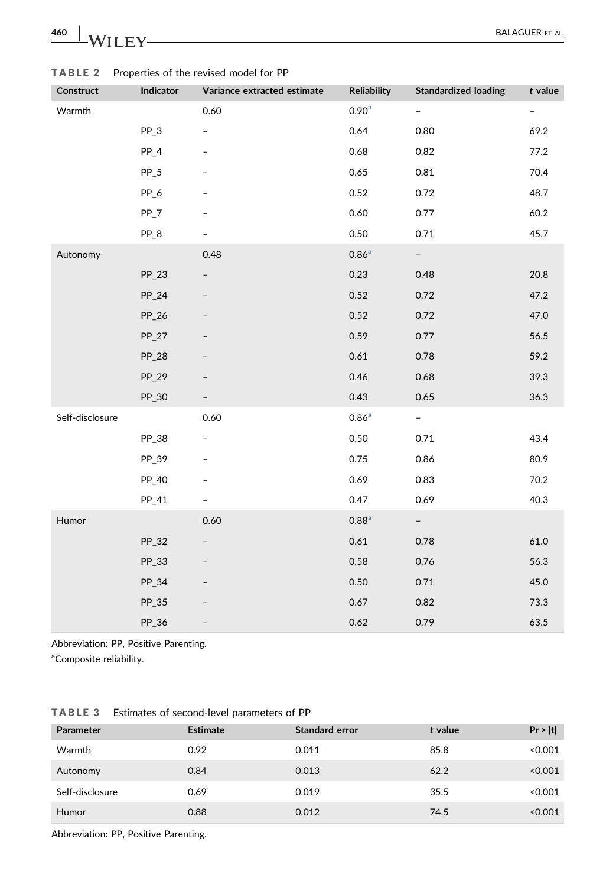| Construct       | Indicator | Variance extracted estimate | <b>Reliability</b>  | <b>Standardized loading</b> | $t$ value                |
|-----------------|-----------|-----------------------------|---------------------|-----------------------------|--------------------------|
| Warmth          |           | 0.60                        | 0.90 <sup>a</sup>   | $\overline{\phantom{a}}$    | $\overline{\phantom{m}}$ |
|                 | $PP_3$    | $\overline{\phantom{0}}$    | 0.64                | 0.80                        | 69.2                     |
|                 | $PP_4$    |                             | 0.68                | 0.82                        | 77.2                     |
|                 | $PP_5$    |                             | 0.65                | 0.81                        | 70.4                     |
|                 | PP_6      |                             | 0.52                | 0.72                        | 48.7                     |
|                 | PP_7      |                             | 0.60                | 0.77                        | 60.2                     |
|                 | $PP_8$    |                             | 0.50                | 0.71                        | 45.7                     |
| Autonomy        |           | 0.48                        | $0.86^{\circ}$      | $ \,$                       |                          |
|                 | $PP_23$   | $\overline{\phantom{0}}$    | 0.23                | 0.48                        | 20.8                     |
|                 | $PP_24$   |                             | 0.52                | 0.72                        | 47.2                     |
|                 | PP_26     |                             | 0.52                | 0.72                        | 47.0                     |
|                 | $PP_27$   |                             | 0.59                | 0.77                        | 56.5                     |
|                 | PP_28     |                             | 0.61                | 0.78                        | 59.2                     |
|                 | PP_29     |                             | 0.46                | 0.68                        | 39.3                     |
|                 | PP_30     |                             | 0.43                | 0.65                        | 36.3                     |
| Self-disclosure |           | 0.60                        | $0.86^{\circ}$      | $\omega_{\rm{eff}}$         |                          |
|                 | PP_38     | $\overline{\phantom{0}}$    | 0.50                | 0.71                        | 43.4                     |
|                 | PP_39     |                             | 0.75                | 0.86                        | 80.9                     |
|                 | PP_40     |                             | 0.69                | 0.83                        | 70.2                     |
|                 | PP_41     |                             | 0.47                | 0.69                        | 40.3                     |
| Humor           |           | 0.60                        | $0.88$ <sup>a</sup> | $\sim$                      |                          |
|                 | PP_32     | $\overline{\phantom{0}}$    | 0.61                | 0.78                        | 61.0                     |
|                 | PP_33     |                             | 0.58                | 0.76                        | 56.3                     |
|                 | PP_34     |                             | 0.50                | 0.71                        | 45.0                     |
|                 | PP_35     |                             | 0.67                | 0.82                        | 73.3                     |
|                 | PP_36     | $\overline{\phantom{0}}$    | 0.62                | 0.79                        | 63.5                     |

<span id="page-9-0"></span>TABLE 2 Properties of the revised model for PP

Abbreviation: PP, Positive Parenting.

<span id="page-9-2"></span><sup>a</sup>Composite reliability.

<span id="page-9-1"></span>

|  | <b>TABLE 3</b> |  |  |  | Estimates of second-level parameters of PP |  |  |  |
|--|----------------|--|--|--|--------------------------------------------|--|--|--|
|--|----------------|--|--|--|--------------------------------------------|--|--|--|

| <b>Parameter</b> | <b>Estimate</b> | <b>Standard error</b> | t value | Pr >  t |
|------------------|-----------------|-----------------------|---------|---------|
| Warmth           | 0.92            | 0.011                 | 85.8    | < 0.001 |
| Autonomy         | 0.84            | 0.013                 | 62.2    | < 0.001 |
| Self-disclosure  | 0.69            | 0.019                 | 35.5    | < 0.001 |
| Humor            | 0.88            | 0.012                 | 74.5    | < 0.001 |
|                  |                 |                       |         |         |

Abbreviation: PP, Positive Parenting.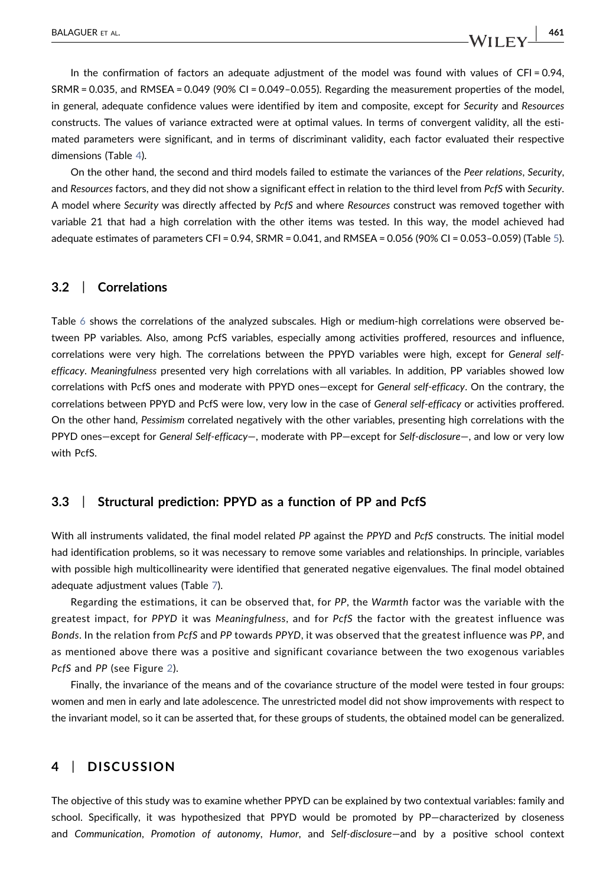In the confirmation of factors an adequate adjustment of the model was found with values of CFI = 0.94, SRMR = 0.035, and RMSEA = 0.049 (90% CI = 0.049–0.055). Regarding the measurement properties of the model, in general, adequate confidence values were identified by item and composite, except for Security and Resources constructs. The values of variance extracted were at optimal values. In terms of convergent validity, all the estimated parameters were significant, and in terms of discriminant validity, each factor evaluated their respective dimensions (Table [4](#page-11-0)).

On the other hand, the second and third models failed to estimate the variances of the Peer relations, Security, and Resources factors, and they did not show a significant effect in relation to the third level from PcfS with Security. A model where Security was directly affected by PcfS and where Resources construct was removed together with variable 21 that had a high correlation with the other items was tested. In this way, the model achieved had adequate estimates of parameters CFI = 0.94, SRMR = 0.041, and RMSEA = 0.056 (90% CI = 0.053–0.059) (Table [5](#page-12-0)).

#### 3.2 | Correlations

Table [6](#page-13-0) shows the correlations of the analyzed subscales. High or medium‐high correlations were observed between PP variables. Also, among PcfS variables, especially among activities proffered, resources and influence, correlations were very high. The correlations between the PPYD variables were high, except for General selfefficacy. Meaningfulness presented very high correlations with all variables. In addition, PP variables showed low correlations with PcfS ones and moderate with PPYD ones—except for General self-efficacy. On the contrary, the correlations between PPYD and PcfS were low, very low in the case of General self‐efficacy or activities proffered. On the other hand, Pessimism correlated negatively with the other variables, presenting high correlations with the PPYD ones—except for General Self‐efficacy—, moderate with PP—except for Self‐disclosure—, and low or very low with PcfS.

# 3.3 | Structural prediction: PPYD as a function of PP and PcfS

With all instruments validated, the final model related PP against the PPYD and PcfS constructs. The initial model had identification problems, so it was necessary to remove some variables and relationships. In principle, variables with possible high multicollinearity were identified that generated negative eigenvalues. The final model obtained adequate adjustment values (Table [7](#page-14-0)).

Regarding the estimations, it can be observed that, for PP, the Warmth factor was the variable with the greatest impact, for PPYD it was Meaningfulness, and for PcfS the factor with the greatest influence was Bonds. In the relation from PcfS and PP towards PPYD, it was observed that the greatest influence was PP, and as mentioned above there was a positive and significant covariance between the two exogenous variables PcfS and PP (see Figure [2](#page-14-1)).

Finally, the invariance of the means and of the covariance structure of the model were tested in four groups: women and men in early and late adolescence. The unrestricted model did not show improvements with respect to the invariant model, so it can be asserted that, for these groups of students, the obtained model can be generalized.

# 4 | DISCUSSION

The objective of this study was to examine whether PPYD can be explained by two contextual variables: family and school. Specifically, it was hypothesized that PPYD would be promoted by PP—characterized by closeness and Communication, Promotion of autonomy, Humor, and Self-disclosure—and by a positive school context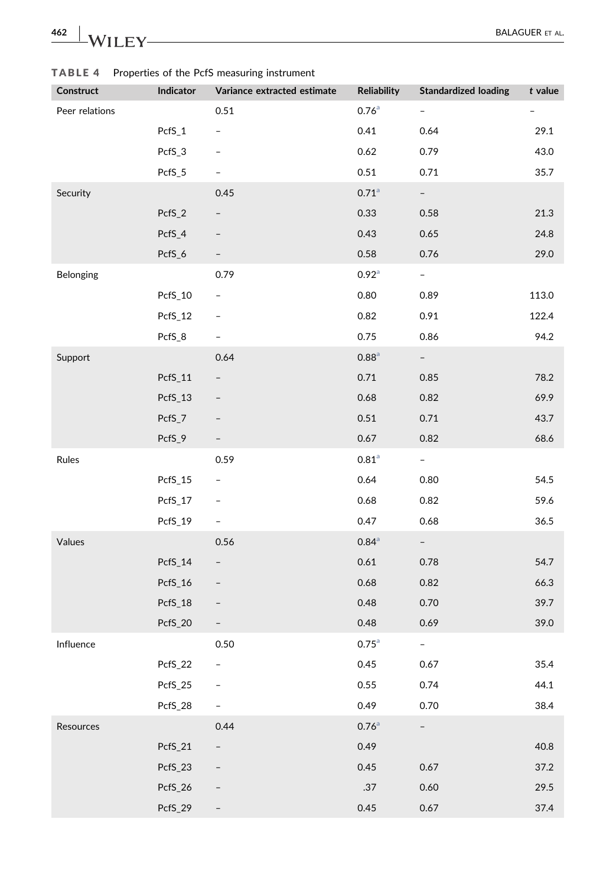| 462<br>W | <b>BALAGUER ET AL.</b> |
|----------|------------------------|
|          |                        |

| Construct      | Indicator | Variance extracted estimate | <b>Reliability</b>  | <b>Standardized loading</b> | t value |
|----------------|-----------|-----------------------------|---------------------|-----------------------------|---------|
| Peer relations |           | 0.51                        | $0.76$ <sup>a</sup> | $-$                         |         |
|                | PcfS_1    | $\qquad \qquad -$           | 0.41                | 0.64                        | 29.1    |
|                | PcfS_3    |                             | 0.62                | 0.79                        | 43.0    |
|                | PcfS_5    |                             | 0.51                | 0.71                        | 35.7    |
| Security       |           | 0.45                        | $0.71$ <sup>a</sup> | $\sim$                      |         |
|                | PcfS_2    | $\overline{\phantom{0}}$    | 0.33                | 0.58                        | 21.3    |
|                | PcfS_4    | $\overline{\phantom{a}}$    | 0.43                | 0.65                        | 24.8    |
|                | PcfS_6    | $\overline{\phantom{a}}$    | 0.58                | 0.76                        | 29.0    |
| Belonging      |           | 0.79                        | $0.92^{\circ}$      | $\omega_{\rm{max}}$         |         |
|                | PcfS_10   | $\overline{\phantom{a}}$    | 0.80                | 0.89                        | 113.0   |
|                | PcfS_12   | -                           | 0.82                | 0.91                        | 122.4   |
|                | PcfS_8    | -                           | 0.75                | 0.86                        | 94.2    |
| Support        |           | 0.64                        | $0.88$ <sup>a</sup> | $\sim$                      |         |
|                | PcfS_11   | $\qquad \qquad -$           | 0.71                | 0.85                        | 78.2    |
|                | PcfS_13   |                             | 0.68                | 0.82                        | 69.9    |
|                | PcfS_7    | $\overline{\phantom{a}}$    | 0.51                | 0.71                        | 43.7    |
|                | PcfS_9    | -                           | 0.67                | 0.82                        | 68.6    |
| Rules          |           | 0.59                        | $0.81$ <sup>a</sup> | $\sim$                      |         |
|                | PcfS_15   | $\overline{\phantom{a}}$    | 0.64                | 0.80                        | 54.5    |
|                | PcfS_17   |                             | 0.68                | 0.82                        | 59.6    |
|                | PcfS_19   | $\overline{\phantom{a}}$    | 0.47                | 0.68                        | 36.5    |
| Values         |           | 0.56                        | $0.84$ <sup>a</sup> | $\sim$                      |         |
|                | PcfS_14   | $\overline{\phantom{a}}$    | 0.61                | 0.78                        | 54.7    |
|                | PcfS_16   | $\overline{\phantom{a}}$    | 0.68                | 0.82                        | 66.3    |
|                | PcfS_18   | $\overline{\phantom{a}}$    | 0.48                | 0.70                        | 39.7    |
|                | PcfS_20   | $\qquad \qquad -$           | 0.48                | 0.69                        | 39.0    |
| Influence      |           | 0.50                        | $0.75$ <sup>a</sup> | $\blacksquare$              |         |
|                | PcfS_22   | -                           | 0.45                | 0.67                        | 35.4    |
|                | PcfS_25   |                             | 0.55                | 0.74                        | 44.1    |
|                | PcfS_28   |                             | 0.49                | 0.70                        | 38.4    |
| Resources      |           | 0.44                        | $0.76$ <sup>a</sup> | $\overline{\phantom{0}}$    |         |
|                | PcfS_21   | $\qquad \qquad -$           | 0.49                |                             | 40.8    |
|                | PcfS_23   |                             | 0.45                | 0.67                        | 37.2    |
|                | PcfS_26   |                             | $.37$               | 0.60                        | 29.5    |
|                | PcfS_29   | $\qquad \qquad -$           | 0.45                | 0.67                        | 37.4    |

# <span id="page-11-0"></span>TABLE 4 Properties of the PcfS measuring instrument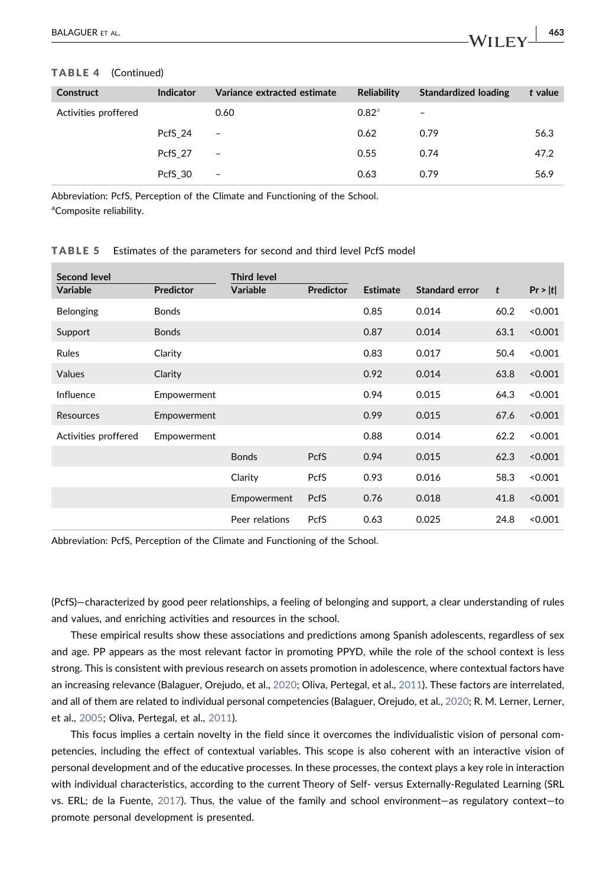#### TABLE 4 (Continued)

| Construct            | Indicator | Variance extracted estimate | <b>Reliability</b> | <b>Standardized loading</b> | t value |
|----------------------|-----------|-----------------------------|--------------------|-----------------------------|---------|
| Activities proffered |           | 0.60                        | 0.82 <sup>a</sup>  | -                           |         |
|                      | PcfS 24   | $\overline{\phantom{0}}$    | 0.62               | 0.79                        | 56.3    |
|                      | PcfS 27   | $\overline{\phantom{a}}$    | 0.55               | 0.74                        | 47.2    |
|                      | PcfS 30   | $\overline{\phantom{a}}$    | 0.63               | 0.79                        | 56.9    |

<span id="page-12-1"></span>Abbreviation: PcfS, Perception of the Climate and Functioning of the School. <sup>a</sup>Composite reliability.

#### <span id="page-12-0"></span>TABLE 5 Estimates of the parameters for second and third level PcfS model

| Second level<br><b>Variable</b> | <b>Predictor</b> | <b>Third level</b><br><b>Variable</b> | <b>Predictor</b> | <b>Estimate</b> | Standard error | t    | Pr >  t |
|---------------------------------|------------------|---------------------------------------|------------------|-----------------|----------------|------|---------|
| Belonging                       | <b>Bonds</b>     |                                       |                  | 0.85            | 0.014          | 60.2 | < 0.001 |
| Support                         | <b>Bonds</b>     |                                       |                  | 0.87            | 0.014          | 63.1 | < 0.001 |
| <b>Rules</b>                    | Clarity          |                                       |                  | 0.83            | 0.017          | 50.4 | < 0.001 |
| Values                          | Clarity          |                                       |                  | 0.92            | 0.014          | 63.8 | < 0.001 |
| Influence                       | Empowerment      |                                       |                  | 0.94            | 0.015          | 64.3 | < 0.001 |
| Resources                       | Empowerment      |                                       |                  | 0.99            | 0.015          | 67.6 | < 0.001 |
| Activities proffered            | Empowerment      |                                       |                  | 0.88            | 0.014          | 62.2 | < 0.001 |
|                                 |                  | <b>Bonds</b>                          | <b>PcfS</b>      | 0.94            | 0.015          | 62.3 | < 0.001 |
|                                 |                  | Clarity                               | PcfS             | 0.93            | 0.016          | 58.3 | < 0.001 |
|                                 |                  | Empowerment                           | <b>PcfS</b>      | 0.76            | 0.018          | 41.8 | < 0.001 |
|                                 |                  | Peer relations                        | PcfS             | 0.63            | 0.025          | 24.8 | < 0.001 |

Abbreviation: PcfS, Perception of the Climate and Functioning of the School.

(PcfS)—characterized by good peer relationships, a feeling of belonging and support, a clear understanding of rules and values, and enriching activities and resources in the school.

These empirical results show these associations and predictions among Spanish adolescents, regardless of sex and age. PP appears as the most relevant factor in promoting PPYD, while the role of the school context is less strong. This is consistent with previous research on assets promotion in adolescence, where contextual factors have an increasing relevance (Balaguer, Orejudo, et al., [2020;](#page-16-1) Oliva, Pertegal, et al., [2011](#page-18-3)). These factors are interrelated, and all of them are related to individual personal competencies (Balaguer, Orejudo, et al., [2020](#page-16-1); R. M. Lerner, Lerner, et al., [2005](#page-17-3); Oliva, Pertegal, et al., [2011\)](#page-18-3).

This focus implies a certain novelty in the field since it overcomes the individualistic vision of personal competencies, including the effect of contextual variables. This scope is also coherent with an interactive vision of personal development and of the educative processes. In these processes, the context plays a key role in interaction with individual characteristics, according to the current Theory of Self‐ versus Externally‐Regulated Learning (SRL vs. ERL; de la Fuente, [2017\)](#page-17-5). Thus, the value of the family and school environment—as regulatory context—to promote personal development is presented.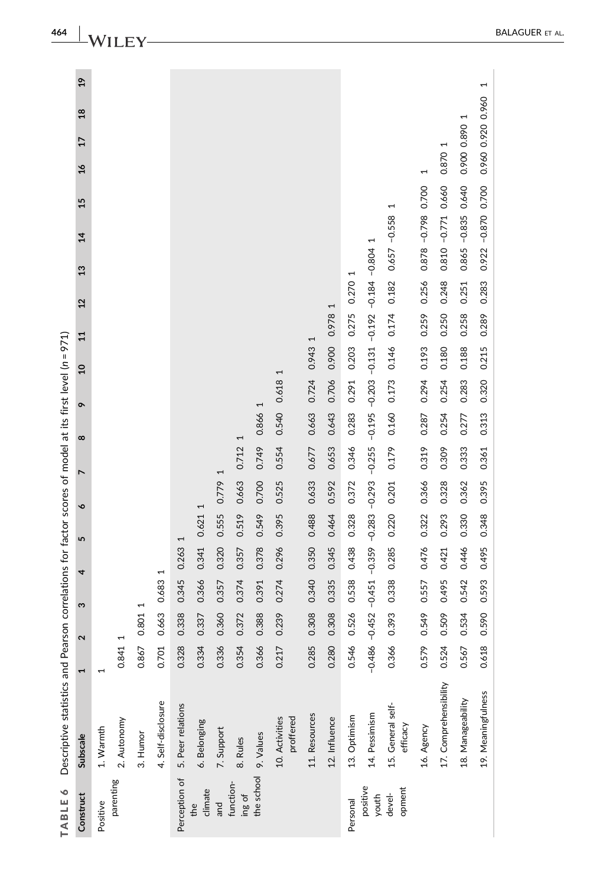<span id="page-13-0"></span>

| $\mathbf{r}$          |             |                                                    |                                                                                       |                                                                         |                                                             |                                                    |                                                                   |                                                                                                 |                                                             |                                                                        |                                                                   |                                                             | 15<br>$\overline{4}$             |                                                               |                                                                         |                                             |
|-----------------------|-------------|----------------------------------------------------|---------------------------------------------------------------------------------------|-------------------------------------------------------------------------|-------------------------------------------------------------|----------------------------------------------------|-------------------------------------------------------------------|-------------------------------------------------------------------------------------------------|-------------------------------------------------------------|------------------------------------------------------------------------|-------------------------------------------------------------------|-------------------------------------------------------------|----------------------------------|---------------------------------------------------------------|-------------------------------------------------------------------------|---------------------------------------------|
|                       | 2           | S                                                  | 4                                                                                     | LŊ                                                                      | $\bullet$                                                   | $\overline{ }$                                     | $\infty$                                                          | ò                                                                                               | å                                                           | $\overline{1}$                                                         | $\frac{2}{3}$                                                     | 13                                                          |                                  | $\frac{6}{1}$                                                 | $\frac{8}{18}$<br>$\overline{17}$                                       | $\frac{9}{2}$                               |
| 1                     |             |                                                    |                                                                                       |                                                                         |                                                             |                                                    |                                                                   |                                                                                                 |                                                             |                                                                        |                                                                   |                                                             |                                  |                                                               |                                                                         |                                             |
|                       | 0.841 1     |                                                    |                                                                                       |                                                                         |                                                             |                                                    |                                                                   |                                                                                                 |                                                             |                                                                        |                                                                   |                                                             |                                  |                                                               |                                                                         |                                             |
|                       | 0.867 0.801 | H                                                  |                                                                                       |                                                                         |                                                             |                                                    |                                                                   |                                                                                                 |                                                             |                                                                        |                                                                   |                                                             |                                  |                                                               |                                                                         |                                             |
| 4. Self-disclosure    | 0.701 0.663 |                                                    | $\overline{ }$<br>0.683                                                               |                                                                         |                                                             |                                                    |                                                                   |                                                                                                 |                                                             |                                                                        |                                                                   |                                                             |                                  |                                                               |                                                                         |                                             |
| 5. Peer relations     | 0.328       | 0.338                                              | 0.345                                                                                 | $\overline{\phantom{0}}$<br>0.263                                       |                                                             |                                                    |                                                                   |                                                                                                 |                                                             |                                                                        |                                                                   |                                                             |                                  |                                                               |                                                                         |                                             |
|                       | 0.334 0.337 |                                                    | 0.366                                                                                 | 0.341                                                                   | Ţ<br>0.621                                                  |                                                    |                                                                   |                                                                                                 |                                                             |                                                                        |                                                                   |                                                             |                                  |                                                               |                                                                         |                                             |
|                       | 0.336       | 0.360                                              | 0.357                                                                                 | 0.320                                                                   | 0.555                                                       | H<br>0.779                                         |                                                                   |                                                                                                 |                                                             |                                                                        |                                                                   |                                                             |                                  |                                                               |                                                                         |                                             |
|                       | 0.354       | 0.372                                              | 0.374                                                                                 | 0.357                                                                   | 0.519                                                       | 0.663                                              | 1<br>0.712                                                        |                                                                                                 |                                                             |                                                                        |                                                                   |                                                             |                                  |                                                               |                                                                         |                                             |
|                       | 0.366       | 0.388                                              | 0.391                                                                                 | 0.378                                                                   | 0.549                                                       | 0.700                                              | 0.749                                                             | H<br>0.866                                                                                      |                                                             |                                                                        |                                                                   |                                                             |                                  |                                                               |                                                                         |                                             |
|                       | 0.217       | 0.239                                              | 0.274                                                                                 | 0.296                                                                   | 0.395                                                       | 0.525                                              | 0.554                                                             | 0.618<br>0.540                                                                                  | H                                                           |                                                                        |                                                                   |                                                             |                                  |                                                               |                                                                         |                                             |
|                       | 0.285       | 0.308                                              | 0.340                                                                                 | 0.350                                                                   | 0.488                                                       | 0.633                                              | 0.677                                                             | 0.724<br>0.663                                                                                  | 0.943                                                       | I                                                                      |                                                                   |                                                             |                                  |                                                               |                                                                         |                                             |
|                       |             |                                                    |                                                                                       |                                                                         |                                                             |                                                    |                                                                   |                                                                                                 |                                                             |                                                                        | H                                                                 |                                                             |                                  |                                                               |                                                                         |                                             |
|                       |             |                                                    |                                                                                       |                                                                         |                                                             |                                                    |                                                                   |                                                                                                 |                                                             |                                                                        | 0.270                                                             | H                                                           |                                  |                                                               |                                                                         |                                             |
|                       |             |                                                    |                                                                                       |                                                                         |                                                             |                                                    |                                                                   |                                                                                                 |                                                             |                                                                        |                                                                   |                                                             |                                  |                                                               |                                                                         |                                             |
| 15. General self-     |             |                                                    |                                                                                       |                                                                         |                                                             |                                                    |                                                                   |                                                                                                 |                                                             |                                                                        | 0.182                                                             |                                                             | 1                                |                                                               |                                                                         |                                             |
|                       |             |                                                    |                                                                                       |                                                                         |                                                             |                                                    |                                                                   |                                                                                                 |                                                             |                                                                        | 0.256                                                             |                                                             |                                  | 1                                                             |                                                                         |                                             |
| 17. Comprehensibility |             |                                                    |                                                                                       |                                                                         |                                                             |                                                    |                                                                   |                                                                                                 |                                                             |                                                                        | 0.248                                                             |                                                             |                                  |                                                               |                                                                         |                                             |
| 18. Manageability     |             |                                                    |                                                                                       |                                                                         |                                                             |                                                    |                                                                   |                                                                                                 |                                                             |                                                                        | 0.251                                                             |                                                             |                                  |                                                               | $\overline{\phantom{0}}$                                                |                                             |
| 19. Meaningfulness    |             |                                                    |                                                                                       |                                                                         |                                                             |                                                    |                                                                   |                                                                                                 |                                                             |                                                                        | 0.283                                                             |                                                             |                                  |                                                               |                                                                         | 1                                           |
|                       |             | 0.546<br>0.524<br>0.366<br>0.579<br>0.567<br>0.618 | $-0.486 - 0.452$<br>0.526<br>0.534<br>0.280 0.308<br>0.549<br>0.509<br>0.590<br>0.393 | $-0.451$<br>0.538<br>0.557<br>0.495<br>0.335<br>0.542<br>0.338<br>0.593 | 0.345<br>0.438<br>0.476<br>0.421<br>0.446<br>0.285<br>0.495 | 0.328<br>0.464<br>0.293<br>0.330<br>0.220<br>0.348 | 0.372<br>0.322 0.366<br>0.592<br>0.328<br>0.362<br>0.201<br>0.395 | $-0.359 - 0.283 - 0.293 - 0.255$<br>0.346<br>0.653<br>0.309<br>0.179<br>0.319<br>0.333<br>0.361 | 0.283<br>0.643<br>0.160<br>0.254<br>0.287<br>0.313<br>0.277 | 0.291<br>$-0.195 - 0.203$<br>0.706<br>0.254<br>0.320<br>0.173<br>0.283 | 0.203<br>0.180<br>0.900<br>0.146<br>0.294 0.193<br>0.188<br>0.215 | 0.275<br>0.259<br>0.250<br>0.978<br>0.174<br>0.258<br>0.289 | $-0.131 - 0.192 - 0.184 - 0.804$ | $0.865 - 0.835$<br>$0.657 -0.558$<br>$\overline{\phantom{0}}$ | 0.810 -0.771 0.660<br>0.640<br>0.922 -0.870 0.700<br>0.878 -0.798 0.700 | 0.960 0.920 0.960<br>0.900 0.890<br>0.870 1 |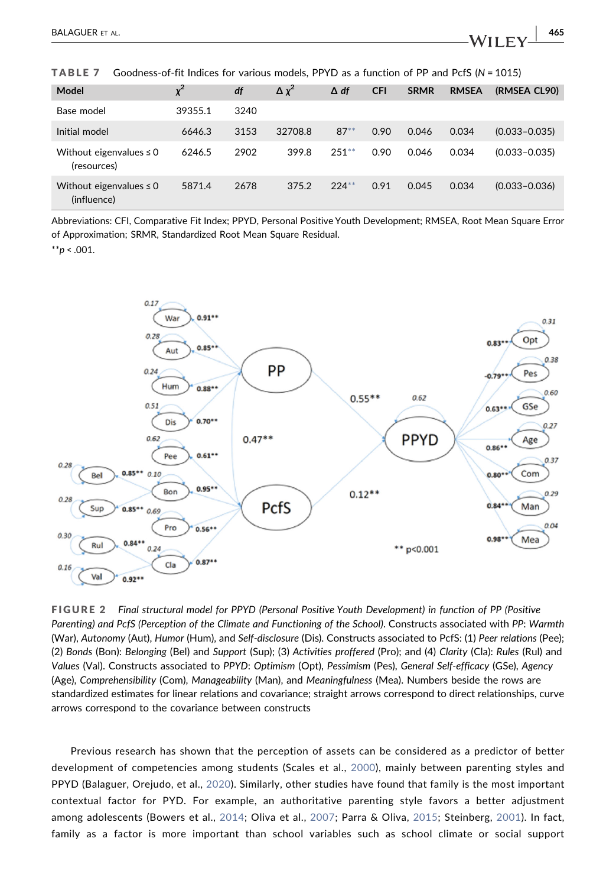<span id="page-14-0"></span>TABLE 7 Goodness-of-fit Indices for various models, PPYD as a function of PP and PcfS (N = 1015)

| Model                                       | $\chi^2$ | df   | $\Delta x^2$ | $\Delta df$ | <b>CFI</b> | <b>SRMR</b> | <b>RMSEA</b> | (RMSEA CL90)      |
|---------------------------------------------|----------|------|--------------|-------------|------------|-------------|--------------|-------------------|
| Base model                                  | 39355.1  | 3240 |              |             |            |             |              |                   |
| Initial model                               | 6646.3   | 3153 | 32708.8      | $87***$     | 0.90       | 0.046       | 0.034        | $(0.033 - 0.035)$ |
| Without eigenvalues $\leq 0$<br>(resources) | 6246.5   | 2902 | 399.8        | $251**$     | 0.90       | 0.046       | 0.034        | $(0.033 - 0.035)$ |
| Without eigenvalues $\leq 0$<br>(influence) | 5871.4   | 2678 | 375.2        | $224**$     | 0.91       | 0.045       | 0.034        | $(0.033 - 0.036)$ |

Abbreviations: CFI, Comparative Fit Index; PPYD, Personal Positive Youth Development; RMSEA, Root Mean Square Error of Approximation; SRMR, Standardized Root Mean Square Residual.

<span id="page-14-2"></span> $*^{*}p < .001$ .

<span id="page-14-1"></span>

FIGURE 2 Final structural model for PPYD (Personal Positive Youth Development) in function of PP (Positive Parenting) and PcfS (Perception of the Climate and Functioning of the School). Constructs associated with PP: Warmth (War), Autonomy (Aut), Humor (Hum), and Self‐disclosure (Dis). Constructs associated to PcfS: (1) Peer relations (Pee); (2) Bonds (Bon): Belonging (Bel) and Support (Sup); (3) Activities proffered (Pro); and (4) Clarity (Cla): Rules (Rul) and Values (Val). Constructs associated to PPYD: Optimism (Opt), Pessimism (Pes), General Self‐efficacy (GSe), Agency (Age), Comprehensibility (Com), Manageability (Man), and Meaningfulness (Mea). Numbers beside the rows are standardized estimates for linear relations and covariance; straight arrows correspond to direct relationships, curve arrows correspond to the covariance between constructs

Previous research has shown that the perception of assets can be considered as a predictor of better development of competencies among students (Scales et al., [2000\)](#page-19-11), mainly between parenting styles and PPYD (Balaguer, Orejudo, et al., [2020\)](#page-16-1). Similarly, other studies have found that family is the most important contextual factor for PYD. For example, an authoritative parenting style favors a better adjustment among adolescents (Bowers et al., [2014](#page-17-13); Oliva et al., [2007;](#page-18-8) Parra & Oliva, [2015;](#page-18-16) Steinberg, [2001](#page-19-12)). In fact, family as a factor is more important than school variables such as school climate or social support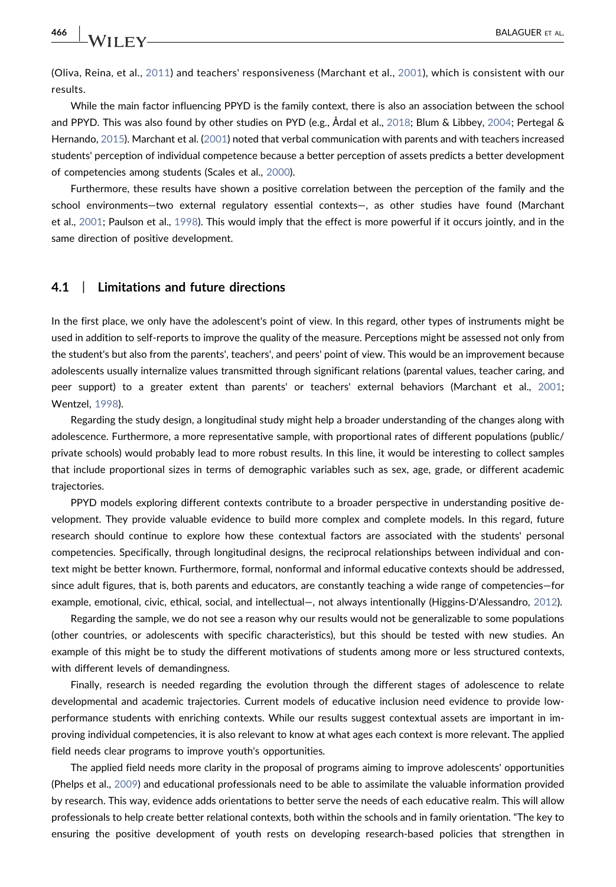(Oliva, Reina, et al., [2011](#page-18-1)) and teachers' responsiveness (Marchant et al., [2001\)](#page-18-12), which is consistent with our results.

While the main factor influencing PPYD is the family context, there is also an association between the school and PPYD. This was also found by other studies on PYD (e.g., Årdal et al., [2018](#page-16-6); Blum & Libbey, [2004](#page-16-9); Pertegal & Hernando, [2015\)](#page-18-17). Marchant et al. [\(2001](#page-18-12)) noted that verbal communication with parents and with teachers increased students' perception of individual competence because a better perception of assets predicts a better development of competencies among students (Scales et al., [2000](#page-19-11)).

Furthermore, these results have shown a positive correlation between the perception of the family and the school environments—two external regulatory essential contexts—, as other studies have found (Marchant et al., [2001;](#page-18-12) Paulson et al., [1998\)](#page-18-13). This would imply that the effect is more powerful if it occurs jointly, and in the same direction of positive development.

#### 4.1 | Limitations and future directions

In the first place, we only have the adolescent's point of view. In this regard, other types of instruments might be used in addition to self‐reports to improve the quality of the measure. Perceptions might be assessed not only from the student's but also from the parents', teachers', and peers' point of view. This would be an improvement because adolescents usually internalize values transmitted through significant relations (parental values, teacher caring, and peer support) to a greater extent than parents' or teachers' external behaviors (Marchant et al., [2001](#page-18-12); Wentzel, [1998](#page-19-6)).

Regarding the study design, a longitudinal study might help a broader understanding of the changes along with adolescence. Furthermore, a more representative sample, with proportional rates of different populations (public/ private schools) would probably lead to more robust results. In this line, it would be interesting to collect samples that include proportional sizes in terms of demographic variables such as sex, age, grade, or different academic trajectories.

PPYD models exploring different contexts contribute to a broader perspective in understanding positive development. They provide valuable evidence to build more complex and complete models. In this regard, future research should continue to explore how these contextual factors are associated with the students' personal competencies. Specifically, through longitudinal designs, the reciprocal relationships between individual and context might be better known. Furthermore, formal, nonformal and informal educative contexts should be addressed, since adult figures, that is, both parents and educators, are constantly teaching a wide range of competencies—for example, emotional, civic, ethical, social, and intellectual—, not always intentionally (Higgins‐D'Alessandro, [2012\)](#page-17-20).

Regarding the sample, we do not see a reason why our results would not be generalizable to some populations (other countries, or adolescents with specific characteristics), but this should be tested with new studies. An example of this might be to study the different motivations of students among more or less structured contexts, with different levels of demandingness.

Finally, research is needed regarding the evolution through the different stages of adolescence to relate developmental and academic trajectories. Current models of educative inclusion need evidence to provide lowperformance students with enriching contexts. While our results suggest contextual assets are important in improving individual competencies, it is also relevant to know at what ages each context is more relevant. The applied field needs clear programs to improve youth's opportunities.

The applied field needs more clarity in the proposal of programs aiming to improve adolescents' opportunities (Phelps et al., [2009](#page-18-18)) and educational professionals need to be able to assimilate the valuable information provided by research. This way, evidence adds orientations to better serve the needs of each educative realm. This will allow professionals to help create better relational contexts, both within the schools and in family orientation. "The key to ensuring the positive development of youth rests on developing research-based policies that strengthen in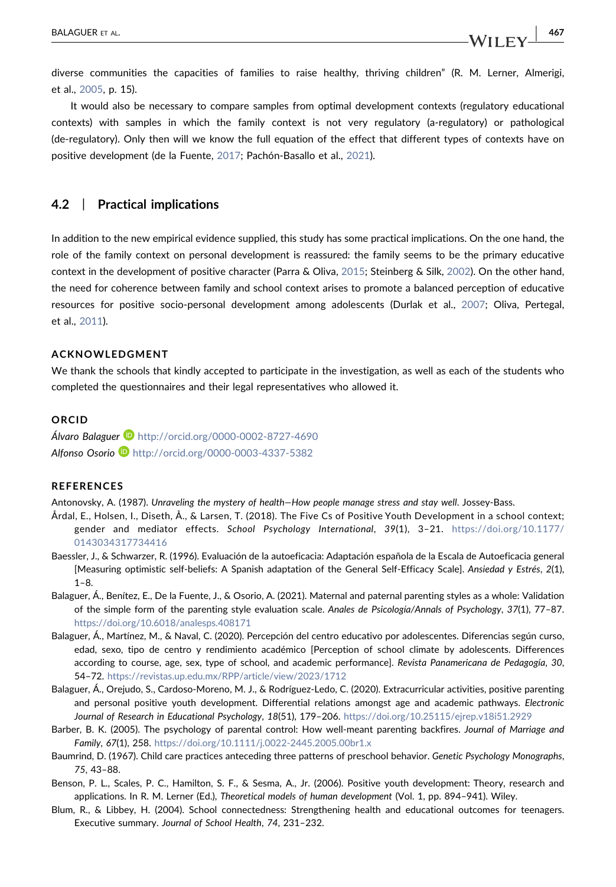diverse communities the capacities of families to raise healthy, thriving children" (R. M. Lerner, Almerigi, et al., [2005](#page-17-12), p. 15).

It would also be necessary to compare samples from optimal development contexts (regulatory educational contexts) with samples in which the family context is not very regulatory (a‐regulatory) or pathological (de-regulatory). Only then will we know the full equation of the effect that different types of contexts have on positive development (de la Fuente, [2017](#page-17-5); Pachón‐Basallo et al., [2021](#page-18-19)).

#### 4.2 | Practical implications

In addition to the new empirical evidence supplied, this study has some practical implications. On the one hand, the role of the family context on personal development is reassured: the family seems to be the primary educative context in the development of positive character (Parra & Oliva, [2015](#page-18-16); Steinberg & Silk, [2002](#page-19-4)). On the other hand, the need for coherence between family and school context arises to promote a balanced perception of educative resources for positive socio‐personal development among adolescents (Durlak et al., [2007;](#page-17-21) Oliva, Pertegal, et al., [2011](#page-18-3)).

#### ACKNOWLEDGMENT

We thank the schools that kindly accepted to participate in the investigation, as well as each of the students who completed the questionnaires and their legal representatives who allowed it.

#### ORCID

Álvaro Balaguer D<http://orcid.org/0000-0002-8727-4690> Alfonso Osorio D <http://orcid.org/0000-0003-4337-5382>

#### **REFERENCES**

<span id="page-16-8"></span>Antonovsky, A. (1987). Unraveling the mystery of health—How people manage stress and stay well. Jossey‐Bass.

- <span id="page-16-6"></span>Årdal, E., Holsen, I., Diseth, Å., & Larsen, T. (2018). The Five Cs of Positive Youth Development in a school context; gender and mediator effects. School Psychology International, 39(1), 3–21. [https://doi.org/10.1177/](https://doi.org/10.1177/0143034317734416) [0143034317734416](https://doi.org/10.1177/0143034317734416)
- <span id="page-16-7"></span>Baessler, J., & Schwarzer, R. (1996). Evaluación de la autoeficacia: Adaptación española de la Escala de Autoeficacia general [Measuring optimistic self‐beliefs: A Spanish adaptation of the General Self‐Efficacy Scale]. Ansiedad y Estrés, 2(1), 1–8.
- <span id="page-16-4"></span>Balaguer, Á., Benítez, E., De la Fuente, J., & Osorio, A. (2021). Maternal and paternal parenting styles as a whole: Validation of the simple form of the parenting style evaluation scale. Anales de Psicología/Annals of Psychology, 37(1), 77–87. <https://doi.org/10.6018/analesps.408171>
- <span id="page-16-3"></span>Balaguer, Á., Martínez, M., & Naval, C. (2020). Percepción del centro educativo por adolescentes. Diferencias según curso, edad, sexo, tipo de centro y rendimiento académico [Perception of school climate by adolescents. Differences according to course, age, sex, type of school, and academic performance]. Revista Panamericana de Pedagogía, 30, 54–72. <https://revistas.up.edu.mx/RPP/article/view/2023/1712>
- <span id="page-16-1"></span>Balaguer, Á., Orejudo, S., Cardoso‐Moreno, M. J., & Rodríguez‐Ledo, C. (2020). Extracurricular activities, positive parenting and personal positive youth development. Differential relations amongst age and academic pathways. Electronic Journal of Research in Educational Psychology, 18(51), 179–206. <https://doi.org/10.25115/ejrep.v18i51.2929>
- <span id="page-16-5"></span>Barber, B. K. (2005). The psychology of parental control: How well‐meant parenting backfires. Journal of Marriage and Family, 67(1), 258. <https://doi.org/10.1111/j.0022-2445.2005.00br1.x>
- <span id="page-16-2"></span>Baumrind, D. (1967). Child care practices anteceding three patterns of preschool behavior. Genetic Psychology Monographs, 75, 43–88.
- <span id="page-16-0"></span>Benson, P. L., Scales, P. C., Hamilton, S. F., & Sesma, A., Jr. (2006). Positive youth development: Theory, research and applications. In R. M. Lerner (Ed.), Theoretical models of human development (Vol. 1, pp. 894–941). Wiley.
- <span id="page-16-9"></span>Blum, R., & Libbey, H. (2004). School connectedness: Strengthening health and educational outcomes for teenagers. Executive summary. Journal of School Health, 74, 231–232.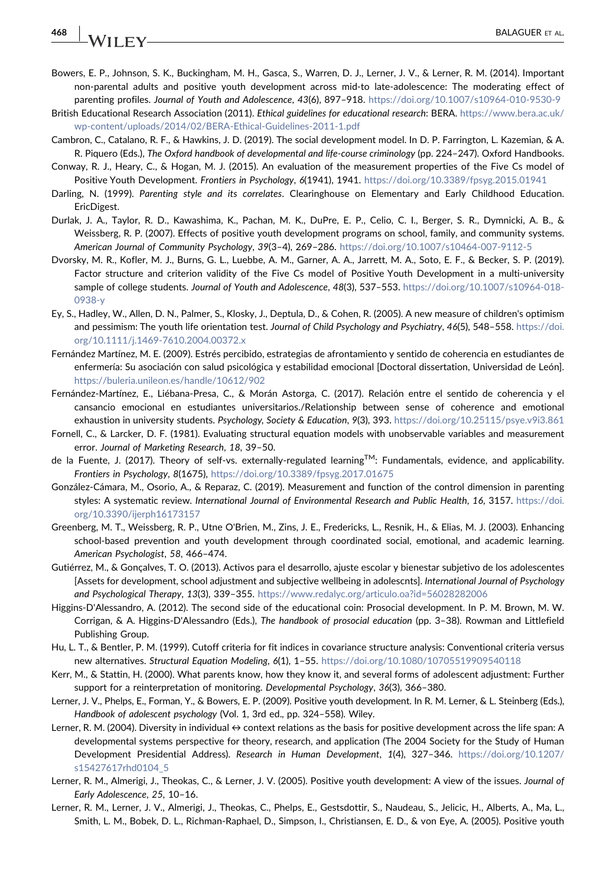# 468 | **IAZLIENA ET AL. 1999 | BALAGUER** ET AL.

- <span id="page-17-13"></span>Bowers, E. P., Johnson, S. K., Buckingham, M. H., Gasca, S., Warren, D. J., Lerner, J. V., & Lerner, R. M. (2014). Important non‐parental adults and positive youth development across mid‐to late‐adolescence: The moderating effect of parenting profiles. Journal of Youth and Adolescence, 43(6), 897-918. <https://doi.org/10.1007/s10964-010-9530-9>
- <span id="page-17-17"></span>British Educational Research Association (2011). Ethical guidelines for educational research: BERA. [https://www.bera.ac.uk/](https://www.bera.ac.uk/wp-content/uploads/2014/02/BERA-Ethical-Guidelines-2011-1.pdf) [wp-content/uploads/2014/02/BERA-Ethical-Guidelines-2011-1.pdf](https://www.bera.ac.uk/wp-content/uploads/2014/02/BERA-Ethical-Guidelines-2011-1.pdf)
- <span id="page-17-11"></span>Cambron, C., Catalano, R. F., & Hawkins, J. D. (2019). The social development model. In D. P. Farrington, L. Kazemian, & A. R. Piquero (Eds.), The Oxford handbook of developmental and life‐course criminology (pp. 224–247). Oxford Handbooks.
- <span id="page-17-0"></span>Conway, R. J., Heary, C., & Hogan, M. J. (2015). An evaluation of the measurement properties of the Five Cs model of Positive Youth Development. Frontiers in Psychology, 6(1941), 1941. <https://doi.org/10.3389/fpsyg.2015.01941>
- <span id="page-17-8"></span>Darling, N. (1999). Parenting style and its correlates. Clearinghouse on Elementary and Early Childhood Education. EricDigest.
- <span id="page-17-21"></span>Durlak, J. A., Taylor, R. D., Kawashima, K., Pachan, M. K., DuPre, E. P., Celio, C. I., Berger, S. R., Dymnicki, A. B., & Weissberg, R. P. (2007). Effects of positive youth development programs on school, family, and community systems. American Journal of Community Psychology, 39(3–4), 269–286. <https://doi.org/10.1007/s10464-007-9112-5>
- <span id="page-17-4"></span>Dvorsky, M. R., Kofler, M. J., Burns, G. L., Luebbe, A. M., Garner, A. A., Jarrett, M. A., Soto, E. F., & Becker, S. P. (2019). Factor structure and criterion validity of the Five Cs model of Positive Youth Development in a multi-university sample of college students. Journal of Youth and Adolescence, 48(3), 537-553. [https://doi.org/10.1007/s10964-018-](https://doi.org/10.1007/s10964-018-0938-y) [0938-y](https://doi.org/10.1007/s10964-018-0938-y)
- <span id="page-17-14"></span>Ey, S., Hadley, W., Allen, D. N., Palmer, S., Klosky, J., Deptula, D., & Cohen, R. (2005). A new measure of children's optimism and pessimism: The youth life orientation test. Journal of Child Psychology and Psychiatry, 46(5), 548-558. [https://doi.](https://doi.org/10.1111/j.1469-7610.2004.00372.x) [org/10.1111/j.1469-7610.2004.00372.x](https://doi.org/10.1111/j.1469-7610.2004.00372.x)
- <span id="page-17-15"></span>Fernández Martínez, M. E. (2009). Estrés percibido, estrategias de afrontamiento y sentido de coherencia en estudiantes de enfermería: Su asociación con salud psicológica y estabilidad emocional [Doctoral dissertation, Universidad de León]. <https://buleria.unileon.es/handle/10612/902>
- <span id="page-17-16"></span>Fernández‐Martínez, E., Liébana‐Presa, C., & Morán Astorga, C. (2017). Relación entre el sentido de coherencia y el cansancio emocional en estudiantes universitarios./Relationship between sense of coherence and emotional exhaustion in university students. Psychology, Society & Education, 9(3), 393. <https://doi.org/10.25115/psye.v9i3.861>
- <span id="page-17-19"></span>Fornell, C., & Larcker, D. F. (1981). Evaluating structural equation models with unobservable variables and measurement error. Journal of Marketing Research, 18, 39–50.
- <span id="page-17-5"></span>de la Fuente, J. (2017). Theory of self‐vs. externally‐regulated learningTM: Fundamentals, evidence, and applicability. Frontiers in Psychology, 8(1675), <https://doi.org/10.3389/fpsyg.2017.01675>
- <span id="page-17-7"></span>González‐Cámara, M., Osorio, A., & Reparaz, C. (2019). Measurement and function of the control dimension in parenting styles: A systematic review. International Journal of Environmental Research and Public Health, 16, 3157. [https://doi.](https://doi.org/10.3390/ijerph16173157) [org/10.3390/ijerph16173157](https://doi.org/10.3390/ijerph16173157)
- <span id="page-17-10"></span>Greenberg, M. T., Weissberg, R. P., Utne O'Brien, M., Zins, J. E., Fredericks, L., Resnik, H., & Elias, M. J. (2003). Enhancing school-based prevention and youth development through coordinated social, emotional, and academic learning. American Psychologist, 58, 466–474.
- <span id="page-17-1"></span>Gutiérrez, M., & Gonçalves, T. O. (2013). Activos para el desarrollo, ajuste escolar y bienestar subjetivo de los adolescentes [Assets for development, school adjustment and subjective wellbeing in adolescnts]. International Journal of Psychology and Psychological Therapy, 13(3), 339–355. <https://www.redalyc.org/articulo.oa?id=56028282006>
- <span id="page-17-20"></span>Higgins‐D'Alessandro, A. (2012). The second side of the educational coin: Prosocial development. In P. M. Brown, M. W. Corrigan, & A. Higgins‐D'Alessandro (Eds.), The handbook of prosocial education (pp. 3–38). Rowman and Littlefield Publishing Group.
- <span id="page-17-18"></span>Hu, L. T., & Bentler, P. M. (1999). Cutoff criteria for fit indices in covariance structure analysis: Conventional criteria versus new alternatives. Structural Equation Modeling, 6(1), 1–55. <https://doi.org/10.1080/10705519909540118>
- <span id="page-17-9"></span>Kerr, M., & Stattin, H. (2000). What parents know, how they know it, and several forms of adolescent adjustment: Further support for a reinterpretation of monitoring. Developmental Psychology, 36(3), 366–380.
- <span id="page-17-2"></span>Lerner, J. V., Phelps, E., Forman, Y., & Bowers, E. P. (2009). Positive youth development. In R. M. Lerner, & L. Steinberg (Eds.), Handbook of adolescent psychology (Vol. 1, 3rd ed., pp. 324–558). Wiley.
- <span id="page-17-6"></span>Lerner, R. M. (2004). Diversity in individual  $\leftrightarrow$  context relations as the basis for positive development across the life span: A developmental systems perspective for theory, research, and application (The 2004 Society for the Study of Human Development Presidential Address). Research in Human Development, 1(4), 327–346. [https://doi.org/10.1207/](https://doi.org/10.1207/s15427617rhd0104_5) [s15427617rhd0104\\_5](https://doi.org/10.1207/s15427617rhd0104_5)
- <span id="page-17-12"></span>Lerner, R. M., Almerigi, J., Theokas, C., & Lerner, J. V. (2005). Positive youth development: A view of the issues. Journal of Early Adolescence, 25, 10–16.
- <span id="page-17-3"></span>Lerner, R. M., Lerner, J. V., Almerigi, J., Theokas, C., Phelps, E., Gestsdottir, S., Naudeau, S., Jelicic, H., Alberts, A., Ma, L., Smith, L. M., Bobek, D. L., Richman‐Raphael, D., Simpson, I., Christiansen, E. D., & von Eye, A. (2005). Positive youth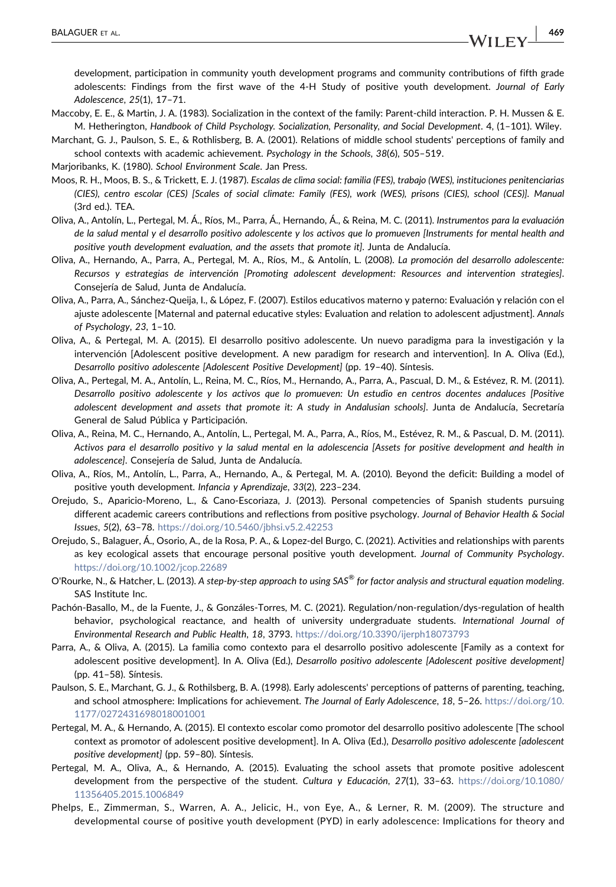development, participation in community youth development programs and community contributions of fifth grade adolescents: Findings from the first wave of the 4‐H Study of positive youth development. Journal of Early Adolescence, 25(1), 17–71.

- <span id="page-18-6"></span>Maccoby, E. E., & Martin, J. A. (1983). Socialization in the context of the family: Parent‐child interaction. P. H. Mussen & E. M. Hetherington, Handbook of Child Psychology. Socialization, Personality, and Social Development. 4, (1–101). Wiley.
- <span id="page-18-12"></span>Marchant, G. J., Paulson, S. E., & Rothlisberg, B. A. (2001). Relations of middle school students' perceptions of family and school contexts with academic achievement. Psychology in the Schools, 38(6), 505–519.
- <span id="page-18-11"></span>Marjoribanks, K. (1980). School Environment Scale. Jan Press.
- <span id="page-18-10"></span>Moos, R. H., Moos, B. S., & Trickett, E. J. (1987). Escalas de clima social: familia (FES), trabajo (WES), instituciones penitenciarias (CIES), centro escolar (CES) [Scales of social climate: Family (FES), work (WES), prisons (CIES), school (CES)]. Manual (3rd ed.). TEA.
- <span id="page-18-7"></span>Oliva, A., Antolín, L., Pertegal, M. Á., Ríos, M., Parra, Á., Hernando, Á., & Reina, M. C. (2011). Instrumentos para la evaluación de la salud mental y el desarrollo positivo adolescente y los activos que lo promueven [Instruments for mental health and positive youth development evaluation, and the assets that promote it]. Junta de Andalucía.
- <span id="page-18-14"></span>Oliva, A., Hernando, A., Parra, A., Pertegal, M. A., Ríos, M., & Antolín, L. (2008). La promoción del desarrollo adolescente: Recursos y estrategias de intervención [Promoting adolescent development: Resources and intervention strategies]. Consejería de Salud, Junta de Andalucía.
- <span id="page-18-8"></span>Oliva, A., Parra, A., Sánchez‐Queija, I., & López, F. (2007). Estilos educativos materno y paterno: Evaluación y relación con el ajuste adolescente [Maternal and paternal educative styles: Evaluation and relation to adolescent adjustment]. Annals of Psychology, 23, 1–10.
- <span id="page-18-4"></span>Oliva, A., & Pertegal, M. A. (2015). El desarrollo positivo adolescente. Un nuevo paradigma para la investigación y la intervención [Adolescent positive development. A new paradigm for research and intervention]. In A. Oliva (Ed.), Desarrollo positivo adolescente [Adolescent Positive Development] (pp. 19–40). Síntesis.
- <span id="page-18-3"></span>Oliva, A., Pertegal, M. A., Antolín, L., Reina, M. C., Ríos, M., Hernando, A., Parra, A., Pascual, D. M., & Estévez, R. M. (2011). Desarrollo positivo adolescente y los activos que lo promueven: Un estudio en centros docentes andaluces [Positive adolescent development and assets that promote it: A study in Andalusian schools]. Junta de Andalucía, Secretaría General de Salud Pública y Participación.
- <span id="page-18-1"></span>Oliva, A., Reina, M. C., Hernando, A., Antolín, L., Pertegal, M. A., Parra, A., Ríos, M., Estévez, R. M., & Pascual, D. M. (2011). Activos para el desarrollo positivo y la salud mental en la adolescencia [Assets for positive development and health in adolescence]. Consejería de Salud, Junta de Andalucía.
- <span id="page-18-2"></span>Oliva, A., Ríos, M., Antolín, L., Parra, A., Hernando, A., & Pertegal, M. A. (2010). Beyond the deficit: Building a model of positive youth development. Infancia y Aprendizaje, 33(2), 223–234.
- <span id="page-18-0"></span>Orejudo, S., Aparicio‐Moreno, L., & Cano‐Escoriaza, J. (2013). Personal competencies of Spanish students pursuing different academic careers contributions and reflections from positive psychology. Journal of Behavior Health & Social Issues, 5(2), 63–78. <https://doi.org/10.5460/jbhsi.v5.2.42253>
- <span id="page-18-5"></span>Orejudo, S., Balaguer, Á., Osorio, A., de la Rosa, P. A., & Lopez‐del Burgo, C. (2021). Activities and relationships with parents as key ecological assets that encourage personal positive youth development. Journal of Community Psychology. <https://doi.org/10.1002/jcop.22689>
- <span id="page-18-15"></span>O'Rourke, N., & Hatcher, L. (2013). A step-by-step approach to using SAS® for factor analysis and structural equation modeling. SAS Institute Inc.
- <span id="page-18-19"></span>Pachón‐Basallo, M., de la Fuente, J., & Gonzáles‐Torres, M. C. (2021). Regulation/non‐regulation/dys‐regulation of health behavior, psychological reactance, and health of university undergraduate students. International Journal of Environmental Research and Public Health, 18, 3793. <https://doi.org/10.3390/ijerph18073793>
- <span id="page-18-16"></span>Parra, A., & Oliva, A. (2015). La familia como contexto para el desarrollo positivo adolescente [Family as a context for adolescent positive development]. In A. Oliva (Ed.), Desarrollo positivo adolescente [Adolescent positive development] (pp. 41–58). Síntesis.
- <span id="page-18-13"></span>Paulson, S. E., Marchant, G. J., & Rothilsberg, B. A. (1998). Early adolescents' perceptions of patterns of parenting, teaching, and school atmosphere: Implications for achievement. The Journal of Early Adolescence, 18, 5–26. [https://doi.org/10.](https://doi.org/10.1177/0272431698018001001) [1177/0272431698018001001](https://doi.org/10.1177/0272431698018001001)
- <span id="page-18-17"></span>Pertegal, M. A., & Hernando, A. (2015). El contexto escolar como promotor del desarrollo positivo adolescente [The school context as promotor of adolescent positive development]. In A. Oliva (Ed.), Desarrollo positivo adolescente [adolescent positive development] (pp. 59–80). Síntesis.
- <span id="page-18-9"></span>Pertegal, M. A., Oliva, A., & Hernando, A. (2015). Evaluating the school assets that promote positive adolescent development from the perspective of the student. Cultura y Educación, 27(1), 33-63. [https://doi.org/10.1080/](https://doi.org/10.1080/11356405.2015.1006849) [11356405.2015.1006849](https://doi.org/10.1080/11356405.2015.1006849)
- <span id="page-18-18"></span>Phelps, E., Zimmerman, S., Warren, A. A., Jelicic, H., von Eye, A., & Lerner, R. M. (2009). The structure and developmental course of positive youth development (PYD) in early adolescence: Implications for theory and